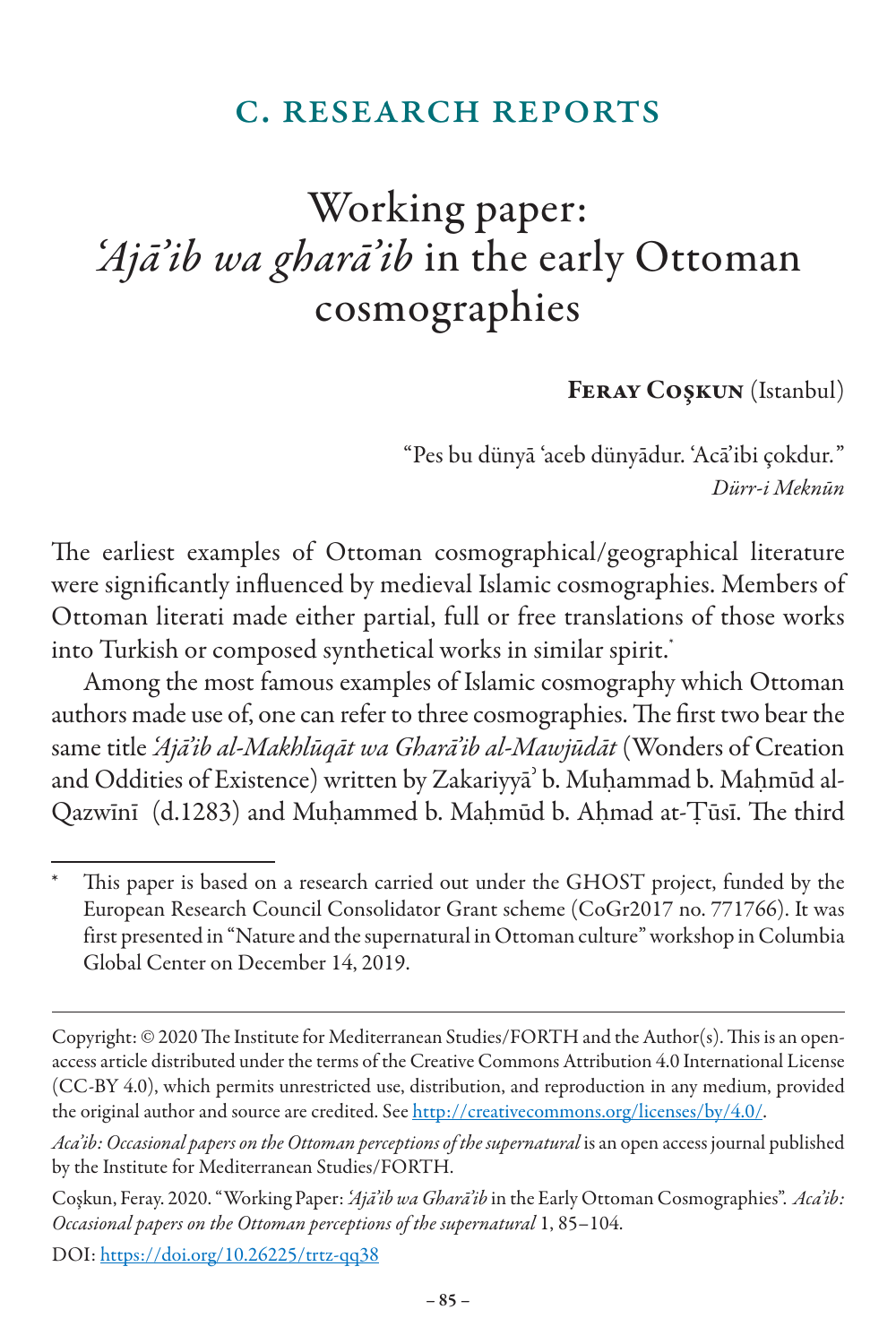#### c. research reports

# Working paper: *'Ajā'ib wa gharā'ib* in the early Ottoman cosmographies

Feray Coşkun (Istanbul)

"Pes bu dünyā 'aceb dünyādur. 'Acā'ibi çokdur*.*" *Dürr-i Meknūn*

The earliest examples of Ottoman cosmographical/geographical literature were significantly influenced by medieval Islamic cosmographies. Members of Ottoman literati made either partial, full or free translations of those works into Turkish or composed synthetical works in similar spirit.<sup>\*</sup>

Among the most famous examples of Islamic cosmography which Ottoman authors made use of, one can refer to three cosmographies. The first two bear the same title *'Ajā'ib al-Makhlūqāt wa Gharā'ib al-Mawjūdāt* (Wonders of Creation and Oddities of Existence) written by Zakariyya<sup>3</sup> b. Muhammad b. Mahmūd al-Qazwīnī (d.1283) and Muhammed b. Mahmūd b. Ahmad at-Tūsī. The third

DOI: https://doi.org/10.26225/trtz-qq38

This paper is based on a research carried out under the GHOST project, funded by the European Research Council Consolidator Grant scheme (CoGr2017 no. 771766). It was first presented in "Nature and the supernatural in Ottoman culture"workshop in Columbia Global Center on December 14, 2019.

Copyright: © 2020 The Institute for Mediterranean Studies/FORTH and the Author(s). This is an openaccess article distributed under the terms of the Creative Commons Attribution 4.0 International License (CC-BY 4.0), which permits unrestricted use, distribution, and reproduction in any medium, provided the original author and source are credited. See http://creativecommons.org/licenses/by/4.0/.

*Aca'ib: Occasional papers on the Ottoman perceptions of the supernatural* is an open access journal published by the Institute for Mediterranean Studies/FORTH.

Coşkun, Feray. 2020. "Working Paper: *'Ajā'ib waGharā'ib* in the Early Ottoman Cosmographies". *Aca'ib: Occasional papers on the Ottoman perceptions of the supernatural* 1, 85–104.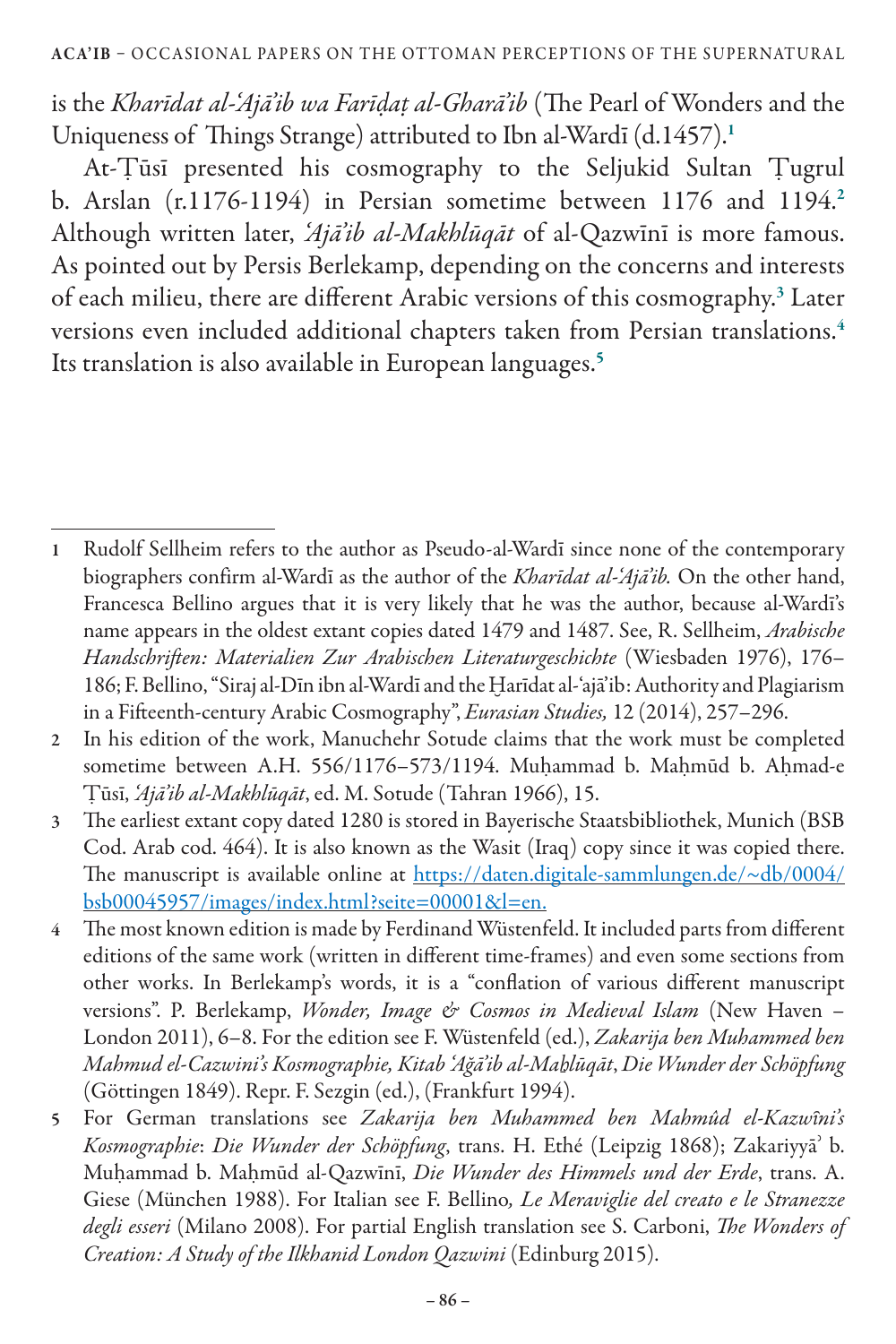is the *Kharīdat al-'Ajā'ib wa Farīḍaṭ al-Gharā'ib* (The Pearl of Wonders and the Uniqueness of Things Strange) attributed to Ibn al-Wardī (d.1457).<sup>1</sup>

At-Ṭūsī presented his cosmography to the Seljukid Sultan Ṭugrul b. Arslan  $(r.1176-1194)$  in Persian sometime between  $1176$  and  $1194.2$ Although written later, *'Ajā'ib al-Makhlūqāt* of al-Qazwīnī is more famous. As pointed out by Persis Berlekamp, depending on the concerns and interests of each milieu, there are different Arabic versions of this cosmography.<sup>3</sup> Later versions even included additional chapters taken from Persian translations.<sup>4</sup> Its translation is also available in European languages.<sup>5</sup>

- 2 In his edition of the work, Manuchehr Sotude claims that the work must be completed sometime between A.H. 556/1176-573/1194. Muḥammad b. Maḥmūd b. Aḥmad-e Ṭūsī, *'Ajā'ib al-Makhlūqāt*, ed. M. Sotude (Tahran 1966), 15.
- 3 The earliest extant copy dated 1280 is stored in Bayerische Staatsbibliothek, Munich (BSB Cod. Arab cod. 464). It is also known as the Wasit (Iraq) copy since it was copied there. The manuscript is available online at https://daten.digitale-sammlungen.de/~db/0004/ bsb00045957/images/index.html?seite=00001&l=en.
- 4 The most known edition is made by Ferdinand Wüstenfeld. It included parts from different editions of the same work (written in different time-frames) and even some sections from other works. In Berlekamp's words, it is a "conflation of various different manuscript versions". P. Berlekamp, *Wonder, Image & Cosmos in Medieval Islam* (New Haven – London 2011), 6–8. For the edition see F. Wüstenfeld (ed.), *Zakarija ben Muhammed ben Mahmud el-Cazwini's Kosmographie, Kitab 'Ağā'ib al-Maẖlūqāt*, *Die Wunder der Schöpfung*  (Göttingen 1849). Repr. F. Sezgin (ed.), (Frankfurt 1994).
- 5 For German translations see *Zakarija ben Muhammed ben Mahmûd el-Kazwȋni's Kosmographie*: *Die Wunder der Schöpfung*, trans. H. Ethé (Leipzig 1868); Zakariyyāʾ b. Muḥammad b. Maḥmūd al-Qazwīnī, *Die Wunder des Himmels und der Erde*, trans. A. Giese (München 1988). For Italian see F. Bellino*, Le Meraviglie del creato e le Stranezze degli esseri* (Milano 2008). For partial English translation see S. Carboni, *The Wonders of Creation: A Study of the Ilkhanid London Qazwini* (Edinburg 2015).

<sup>1</sup> Rudolf Sellheim refers to the author as Pseudo-al-Wardī since none of the contemporary biographers confirm al-Wardī as the author of the *Kharīdat al-'Ajā'ib.* On the other hand, Francesca Bellino argues that it is very likely that he was the author, because al-Wardī's name appears in the oldest extant copies dated 1479 and 1487. See, R. Sellheim, *Arabische Handschriften: Materialien Zur Arabischen Literaturgeschichte* (Wiesbaden 1976), 176– 186; F. Bellino, "Siraj al-Dīn ibn al-Wardī and the Ḫarīdat al-'ajā'ib: Authority and Plagiarism in a Fifteenth-century Arabic Cosmography", *Eurasian Studies,* 12 (2014), 257–296.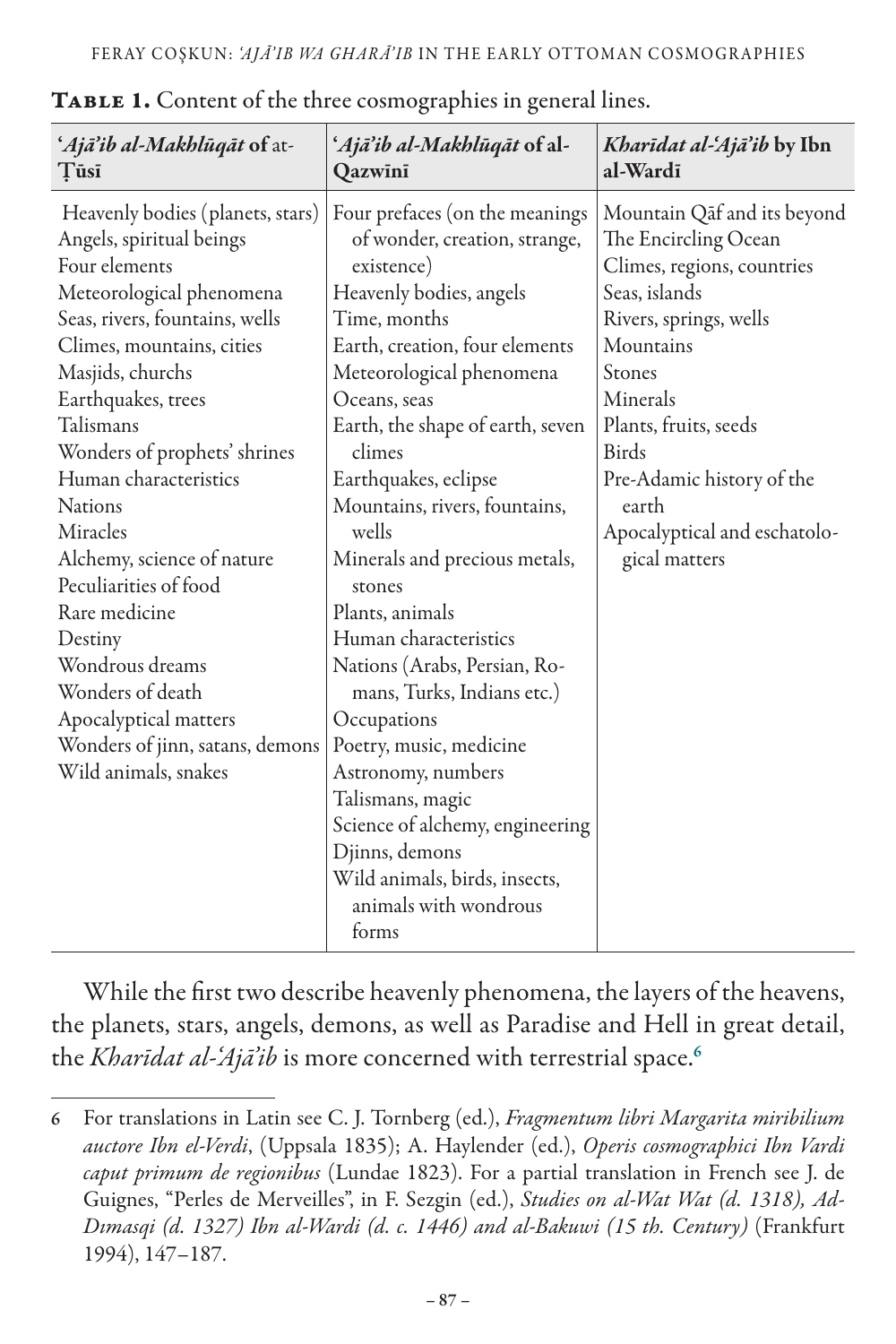| 'Ajā'ib al-Makhlūqāt of at-<br>Tūsī                                                                                                                                                                                                                                                                                                                                                                                                                                                                                                  | 'Ajā'ib al-Makhlūqāt of al-<br>Qazwini                                                                                                                                                                                                                                                                                                                                                                                                                                                                                                                                                                                                                                         | Kharīdat al-'Ajā'ib by Ibn<br>al-Wardi                                                                                                                                                                                                                                                          |
|--------------------------------------------------------------------------------------------------------------------------------------------------------------------------------------------------------------------------------------------------------------------------------------------------------------------------------------------------------------------------------------------------------------------------------------------------------------------------------------------------------------------------------------|--------------------------------------------------------------------------------------------------------------------------------------------------------------------------------------------------------------------------------------------------------------------------------------------------------------------------------------------------------------------------------------------------------------------------------------------------------------------------------------------------------------------------------------------------------------------------------------------------------------------------------------------------------------------------------|-------------------------------------------------------------------------------------------------------------------------------------------------------------------------------------------------------------------------------------------------------------------------------------------------|
| Heavenly bodies (planets, stars)<br>Angels, spiritual beings<br>Four elements<br>Meteorological phenomena<br>Seas, rivers, fountains, wells<br>Climes, mountains, cities<br>Masjids, churchs<br>Earthquakes, trees<br>Talismans<br>Wonders of prophets' shrines<br>Human characteristics<br><b>Nations</b><br>Miracles<br>Alchemy, science of nature<br>Peculiarities of food<br>Rare medicine<br>Destiny<br>Wondrous dreams<br>Wonders of death<br>Apocalyptical matters<br>Wonders of jinn, satans, demons<br>Wild animals, snakes | Four prefaces (on the meanings<br>of wonder, creation, strange,<br>existence)<br>Heavenly bodies, angels<br>Time, months<br>Earth, creation, four elements<br>Meteorological phenomena<br>Oceans, seas<br>Earth, the shape of earth, seven<br>climes<br>Earthquakes, eclipse<br>Mountains, rivers, fountains,<br>wells<br>Minerals and precious metals,<br>stones<br>Plants, animals<br>Human characteristics<br>Nations (Arabs, Persian, Ro-<br>mans, Turks, Indians etc.)<br>Occupations<br>Poetry, music, medicine<br>Astronomy, numbers<br>Talismans, magic<br>Science of alchemy, engineering<br>Djinns, demons<br>Wild animals, birds, insects,<br>animals with wondrous | Mountain Qaf and its beyond<br>The Encircling Ocean<br>Climes, regions, countries<br>Seas, islands<br>Rivers, springs, wells<br>Mountains<br>Stones<br>Minerals<br>Plants, fruits, seeds<br><b>Birds</b><br>Pre-Adamic history of the<br>earth<br>Apocalyptical and eschatolo-<br>gical matters |
|                                                                                                                                                                                                                                                                                                                                                                                                                                                                                                                                      | forms                                                                                                                                                                                                                                                                                                                                                                                                                                                                                                                                                                                                                                                                          |                                                                                                                                                                                                                                                                                                 |

TABLE 1. Content of the three cosmographies in general lines.

While the first two describe heavenly phenomena, the layers of the heavens, the planets, stars, angels, demons, as well as Paradise and Hell in great detail, the *Kharīdat al-'Ajā'ib* is more concerned with terrestrial space.<sup>6</sup>

<sup>6</sup> For translations in Latin see C. J. Tornberg (ed.), *Fragmentum libri Margarita miribilium auctore Ibn el-Verdi*, (Uppsala 1835); A. Haylender (ed.), *Operis cosmographici Ibn Vardi caput primum de regionibus* (Lundae 1823). For a partial translation in French see J. de Guignes, "Perles de Merveilles", in F. Sezgin (ed.), *Studies on al-Wat Wat (d. 1318), Ad-Dımasqi (d. 1327) Ibn al-Wardi (d. c. 1446) and al-Bakuwi (15 th. Century)* (Frankfurt 1994), 147–187.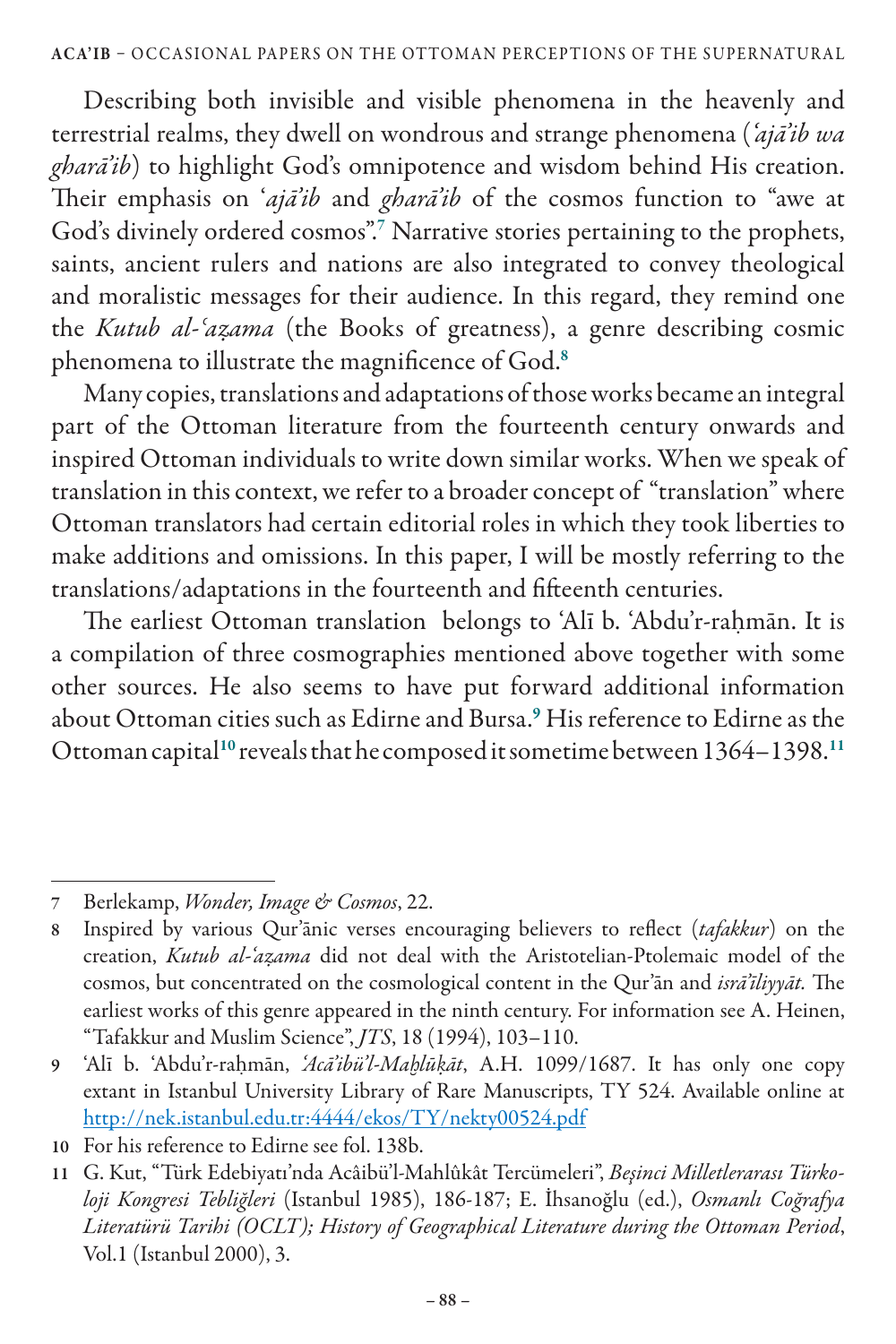Describing both invisible and visible phenomena in the heavenly and terrestrial realms, they dwell on wondrous and strange phenomena (*'ajā'ib wa gharā'ib*) to highlight God's omnipotence and wisdom behind His creation. Their emphasis on '*ajā'ib* and *gharā'ib* of the cosmos function to "awe at God's divinely ordered cosmos".<sup>7</sup> Narrative stories pertaining to the prophets, saints, ancient rulers and nations are also integrated to convey theological and moralistic messages for their audience. In this regard, they remind one the *Kutub al-ʿaẓama* (the Books of greatness), a genre describing cosmic phenomena to illustrate the magnificence of God.<sup>8</sup>

Many copies, translations and adaptations of those works became an integral part of the Ottoman literature from the fourteenth century onwards and inspired Ottoman individuals to write down similar works. When we speak of translation in this context, we refer to a broader concept of "translation" where Ottoman translators had certain editorial roles in which they took liberties to make additions and omissions. In this paper, I will be mostly referring to the translations/adaptations in the fourteenth and fifteenth centuries.

The earliest Ottoman translation belongs to 'Alī b. 'Abdu'r-rahmān. It is a compilation of three cosmographies mentioned above together with some other sources. He also seems to have put forward additional information about Ottoman cities such as Edirne and Bursa.<sup>9</sup> His reference to Edirne as the Ottoman capital<sup>10</sup> reveals that he composed it sometime between 1364-1398.<sup>11</sup>

<sup>7</sup> Berlekamp, *Wonder, Image & Cosmos*, 22.

<sup>8</sup> Inspired by various Qur'ānic verses encouraging believers to reflect (*tafakkur*) on the creation, *Kutub al-'aẓama* did not deal with the Aristotelian-Ptolemaic model of the cosmos, but concentrated on the cosmological content in the Qur'ān and *isrā'īliyyāt.* The earliest works of this genre appeared in the ninth century. For information see A. Heinen, "Tafakkur and Muslim Science", *JTS*, 18 (1994), 103–110.

<sup>9</sup> 'Alī b. 'Abdu'r-raḥmān, *'Acā'ibü'l-Maḫlūḳāt*, A.H. 1099/1687. It has only one copy extant in Istanbul University Library of Rare Manuscripts, TY 524. Available online at http://nek.istanbul.edu.tr:4444/ekos/TY/nekty00524.pdf

<sup>10</sup> For his reference to Edirne see fol. 138b.

<sup>11</sup> G. Kut, "Türk Edebiyatı'nda Acâibü'l-Mahlûkât Tercümeleri", *Beşinci Milletlerarası Türkoloji Kongresi Tebliğleri* (Istanbul 1985), 186-187; E. İhsanoğlu (ed.), *Osmanlı Coğrafya Literatürü Tarihi (OCLT); History of Geographical Literature during the Ottoman Period*, Vol.1 (Istanbul 2000), 3.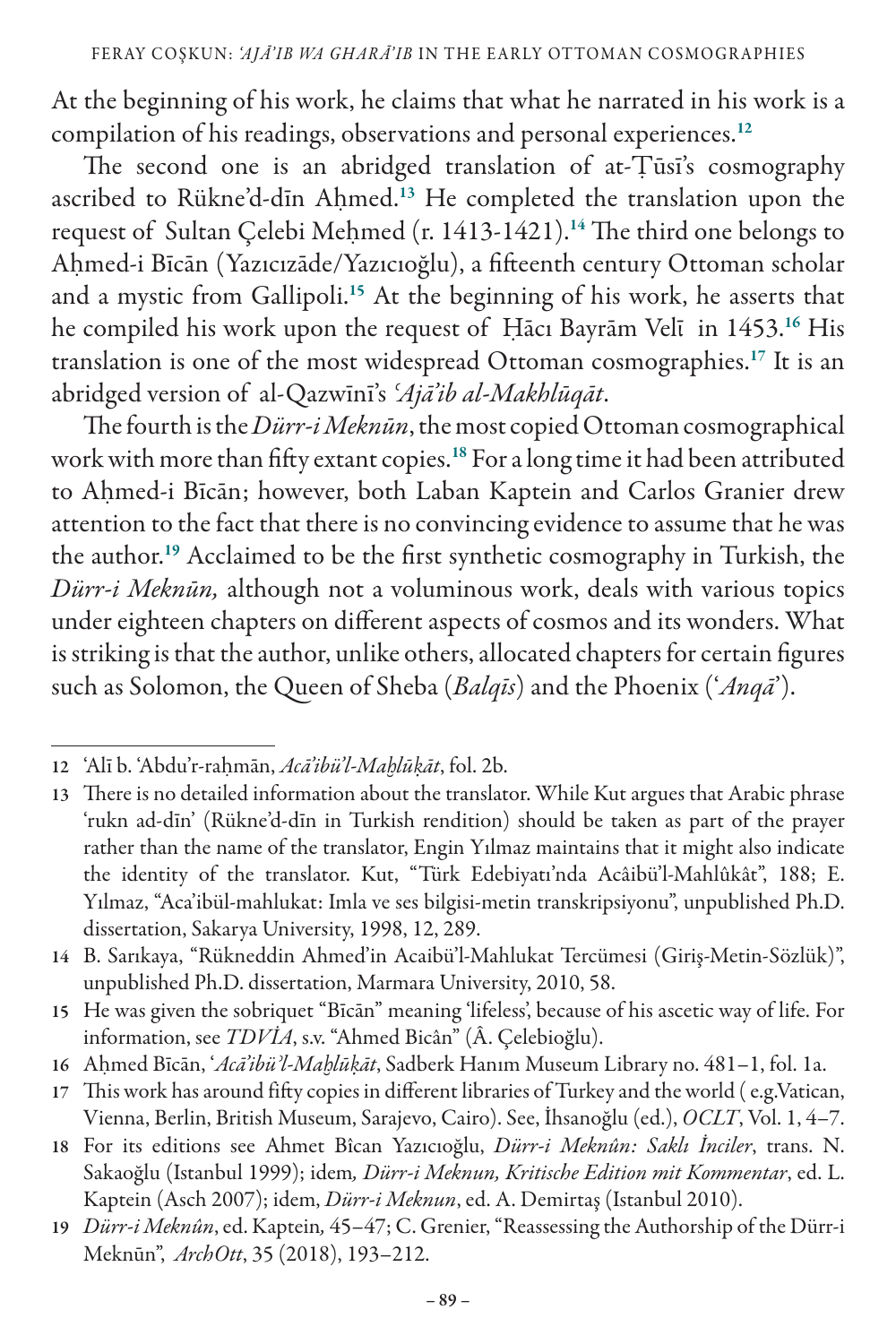At the beginning of his work, he claims that what he narrated in his work is a compilation of his readings, observations and personal experiences.<sup>12</sup>

The second one is an abridged translation of at-Ṭūsī's cosmography ascribed to Rükne'd-dīn Aḥmed.<sup>13</sup> He completed the translation upon the request of Sultan Çelebi Meḥmed (r. 1413-1421).<sup>14</sup> The third one belongs to Aḥmed-i Bīcān (Yazıcızāde/Yazıcıoğlu), a fifteenth century Ottoman scholar and a mystic from Gallipoli.<sup>15</sup> At the beginning of his work, he asserts that he compiled his work upon the request of Hācı Bayrām Velī in 1453.<sup>16</sup> His translation is one of the most widespread Ottoman cosmographies.<sup>17</sup> It is an abridged version of al-Qazwīnī's *ʿAjā'ib al-Makhlūqāt*.

The fourth is the *Dürr-i Meknūn*, the most copied Ottoman cosmographical work with more than fifty extant copies.<sup>18</sup> For a long time it had been attributed to Aḥmed-i Bīcān; however, both Laban Kaptein and Carlos Granier drew attention to the fact that there is no convincing evidence to assume that he was the author.<sup>19</sup> Acclaimed to be the first synthetic cosmography in Turkish, the *Dürr-i Meknūn,* although not a voluminous work, deals with various topics under eighteen chapters on different aspects of cosmos and its wonders. What is striking is that the author, unlike others, allocated chapters for certain figures such as Solomon, the Queen of Sheba (*Balqīs*) and the Phoenix ('*Anqā*').

<sup>12</sup> 'Alī b. 'Abdu'r-raḥmān, *Acā'ibü'l-Maḫlūḳāt*, fol. 2b.

<sup>13</sup> There is no detailed information about the translator. While Kut argues that Arabic phrase 'rukn ad-dīn' (Rükne'd-dīn in Turkish rendition) should be taken as part of the prayer rather than the name of the translator, Engin Yılmaz maintains that it might also indicate the identity of the translator. Kut, "Türk Edebiyatı'nda Acâibü'l-Mahlûkât", 188; E. Yılmaz, "Aca'ibül-mahlukat: Imla ve ses bilgisi-metin transkripsiyonu", unpublished Ph.D. dissertation, Sakarya University, 1998, 12, 289.

<sup>14</sup> B. Sarıkaya, "Rükneddin Ahmed'in Acaibü'l-Mahlukat Tercümesi (Giriş-Metin-Sözlük)", unpublished Ph.D. dissertation, Marmara University, 2010, 58.

<sup>15</sup> He was given the sobriquet "Bīcān" meaning 'lifeless', because of his ascetic way of life. For information, see *TDVİA*, s.v. "Ahmed Bicân" (Â. Çelebioğlu).

<sup>16</sup> Aḥmed Bīcān, '*Acā'ibüʾl-Maḫlūḳāt*, Sadberk Hanım Museum Library no. 481–1, fol. 1a.

<sup>17</sup> This work has around fifty copies in different libraries of Turkey and the world (e.g.Vatican, Vienna, Berlin, British Museum, Sarajevo, Cairo). See, İhsanoğlu (ed.), *OCLT*, Vol. 1, 4–7.

<sup>18</sup> For its editions see Ahmet Bîcan Yazıcıoğlu, *Dürr-i Meknûn: Saklı İnciler*, trans. N. Sakaoğlu (Istanbul 1999); idem*, Dürr-i Meknun, Kritische Edition mit Kommentar*, ed. L. Kaptein (Asch 2007); idem, *Dürr-i Meknun*, ed. A. Demirtaş (Istanbul 2010).

<sup>19</sup> *Dürr-i Meknûn*,ed. Kaptein*,* 45–47; C. Grenier, "Reassessing the Authorship of the Dürr-i Meknūn", *ArchOtt*, 35 (2018), 193–212.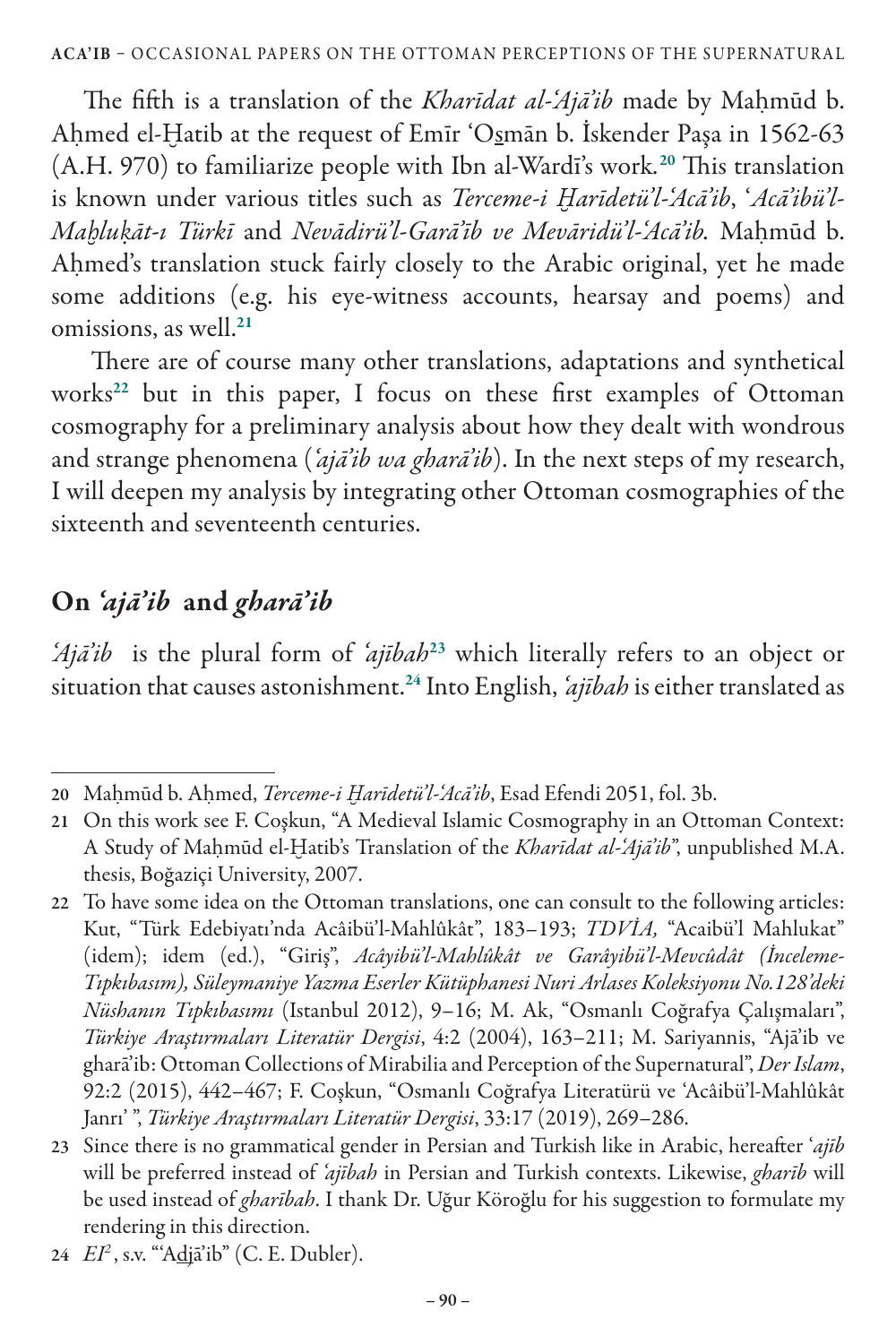The fifth is a translation of the *Kharīdat al-'Ajā'ib* made by Maḥmūd b. Aḥmed el-Ḫatib at the request of Emīr 'Osmān b. İskender Paşa in 1562-63 (A.H. 970) to familiarize people with Ibn al-Wardī's work*.* <sup>20</sup> This translation is known under various titles such as *Terceme-i Harīdetü'l-'Acā'ib*, 'Acā'ibü'l-*Maḫluḳāt-ı Türkī* and *Nevādirü'l-Garā'īb ve Mevāridü'l-'Acā'ib.* Maḥmūd b. Ahmed's translation stuck fairly closely to the Arabic original, yet he made some additions (e.g. his eye-witness accounts, hearsay and poems) and omissions, as well.<sup>21</sup>

 There are of course many other translations, adaptations and synthetical works<sup>22</sup> but in this paper, I focus on these first examples of Ottoman cosmography for a preliminary analysis about how they dealt with wondrous and strange phenomena (*'ajā'ib wa gharā'ib*). In the next steps of my research, I will deepen my analysis by integrating other Ottoman cosmographies of the sixteenth and seventeenth centuries.

## On *'ajā'ib* and *gharā'ib*

*Ajā'ib* is the plural form of *'ajībah*<sup>23</sup> which literally refers to an object or situation that causes astonishment.<sup>24</sup> Into English, *'ajībah* is either translated as

24 *EI2* , s.v. "'Adjā'ib" (C. E. Dubler).

<sup>20</sup> Maḥmūd b. Aḥmed, *Terceme-i Ḫarīdetü'l-'Acā'ib*, Esad Efendi 2051, fol. 3b.

<sup>21</sup> On this work see F. Coşkun, "A Medieval Islamic Cosmography in an Ottoman Context: A Study of Maḥmūd el-Ḫatib's Translation of the *Kharīdat al-'Ajā'ib*", unpublished M.A. thesis, Boğaziçi University, 2007.

<sup>22</sup> To have some idea on the Ottoman translations, one can consult to the following articles: Kut, "Türk Edebiyatı'nda Acâibü'l-Mahlûkât", 183–193; *TDVİA,* "Acaibü'l Mahlukat" (idem); idem (ed.), "Giriş", *Acâyibü'l-Mahlûkât ve Garâyibü'l-Mevcûdât (İnceleme-Tıpkıbasım), Süleymaniye Yazma Eserler Kütüphanesi Nuri Arlases Koleksiyonu No.128'deki Nüshanın Tıpkıbasımı* (Istanbul 2012), 9–16; M. Ak, "Osmanlı Coğrafya Çalışmaları", *Türkiye Araştırmaları Literatür Dergisi*, 4:2 (2004), 163–211; M. Sariyannis, "Ajā'ib ve gharā'ib: Ottoman Collections of Mirabilia and Perception of the Supernatural", *Der Islam*, 92:2 (2015), 442–467; F. Coşkun, "Osmanlı Coğrafya Literatürü ve 'Acâibü'l-Mahlûkât Janrı' ", *Türkiye Araştırmaları Literatür Dergisi*, 33:17 (2019), 269–286.

<sup>23</sup> Since there is no grammatical gender in Persian and Turkish like in Arabic, hereafter '*ajīb* will be preferred instead of *'ajībah* in Persian and Turkish contexts. Likewise, *gharīb* will be used instead of *gharībah*. I thank Dr. Uğur Köroğlu for his suggestion to formulate my rendering in this direction.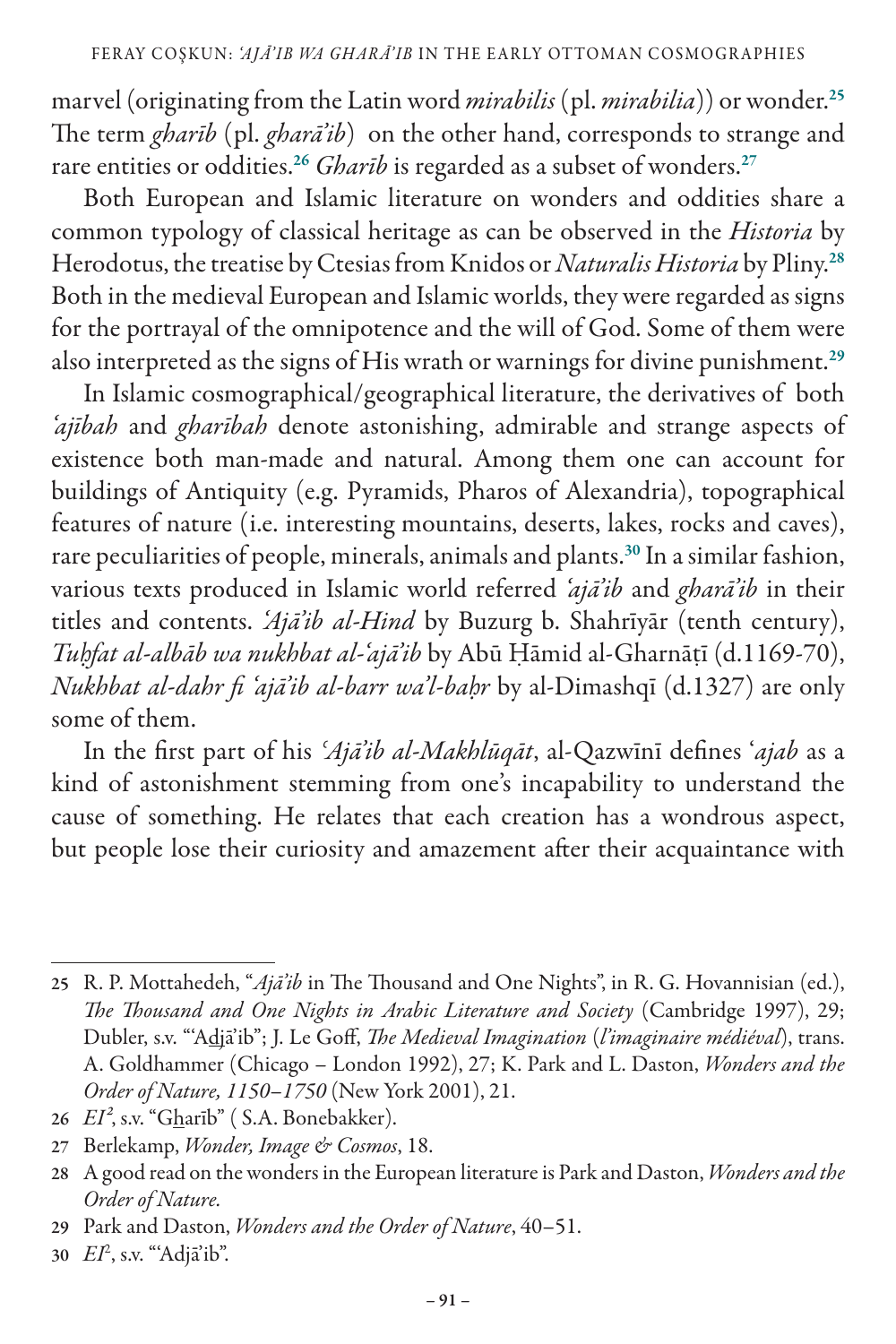marvel (originating from the Latin word *mirabilis* (pl. *mirabilia*)) or wonder.<sup>25</sup> The term *gharīb* (pl. *gharā'ib*) on the other hand, corresponds to strange and rare entities or oddities.<sup>26</sup> *Gharīb* is regarded as a subset of wonders.<sup>27</sup>

Both European and Islamic literature on wonders and oddities share a common typology of classical heritage as can be observed in the *Historia* by Herodotus, the treatise by Ctesias from Knidos or *Naturalis Historia* by Pliny.<sup>28</sup> Both in the medieval European and Islamic worlds, they were regarded as signs for the portrayal of the omnipotence and the will of God. Some of them were also interpreted as the signs of His wrath or warnings for divine punishment.<sup>29</sup>

In Islamic cosmographical/geographical literature, the derivatives of both *'ajībah* and *gharībah* denote astonishing, admirable and strange aspects of existence both man-made and natural. Among them one can account for buildings of Antiquity (e.g. Pyramids, Pharos of Alexandria), topographical features of nature (i.e. interesting mountains, deserts, lakes, rocks and caves), rare peculiarities of people, minerals, animals and plants.<sup>30</sup> In a similar fashion, various texts produced in Islamic world referred *'ajā'ib* and *gharā'ib* in their titles and contents. *'Ajā'ib al-Hind* by Buzurg b. Shahrīyār (tenth century), *Tuḥfat al-albāb wa nukhbat al-'ajā'ib* by Abū Ḥāmid al-Gharnāṭī (d.1169-70), *Nukhbat al-dahr fi 'ajā'ib al-barr wa'l-baḥr* by al-Dimashqī (d.1327) are only some of them.

In the first part of his *ʿAjā'ib al-Makhlūqāt*, al-Qazwīnī defines '*ajab* as a kind of astonishment stemming from one's incapability to understand the cause of something. He relates that each creation has a wondrous aspect, but people lose their curiosity and amazement after their acquaintance with

<sup>25</sup> R. P. Mottahedeh, "*Ajā'ib* in The Thousand and One Nights", in R. G. Hovannisian (ed.), *The Thousand and One Nights in Arabic Literature and Society* (Cambridge 1997), 29; Dubler, s.v. "'Adjā'ib"; J. Le Goff, *The Medieval Imagination* (*l'imaginaire médiéval*), trans. A. Goldhammer (Chicago – London 1992), 27; K. Park and L. Daston, *Wonders and the Order of Nature, 1150*–*1750* (New York 2001), 21.

<sup>26</sup> *EI²*, s.v. "Gharīb" ( S.A. Bonebakker).

<sup>27</sup> Berlekamp, *Wonder, Image & Cosmos*, 18.

<sup>28</sup> A good read on the wonders in the European literature is Park and Daston, *Wonders and the Order of Nature.* 

<sup>29</sup> Park and Daston, *Wonders and the Order of Nature*, 40–51.

<sup>30</sup> *EI*<sup>2</sup> , s.v. "'Adjā'ib".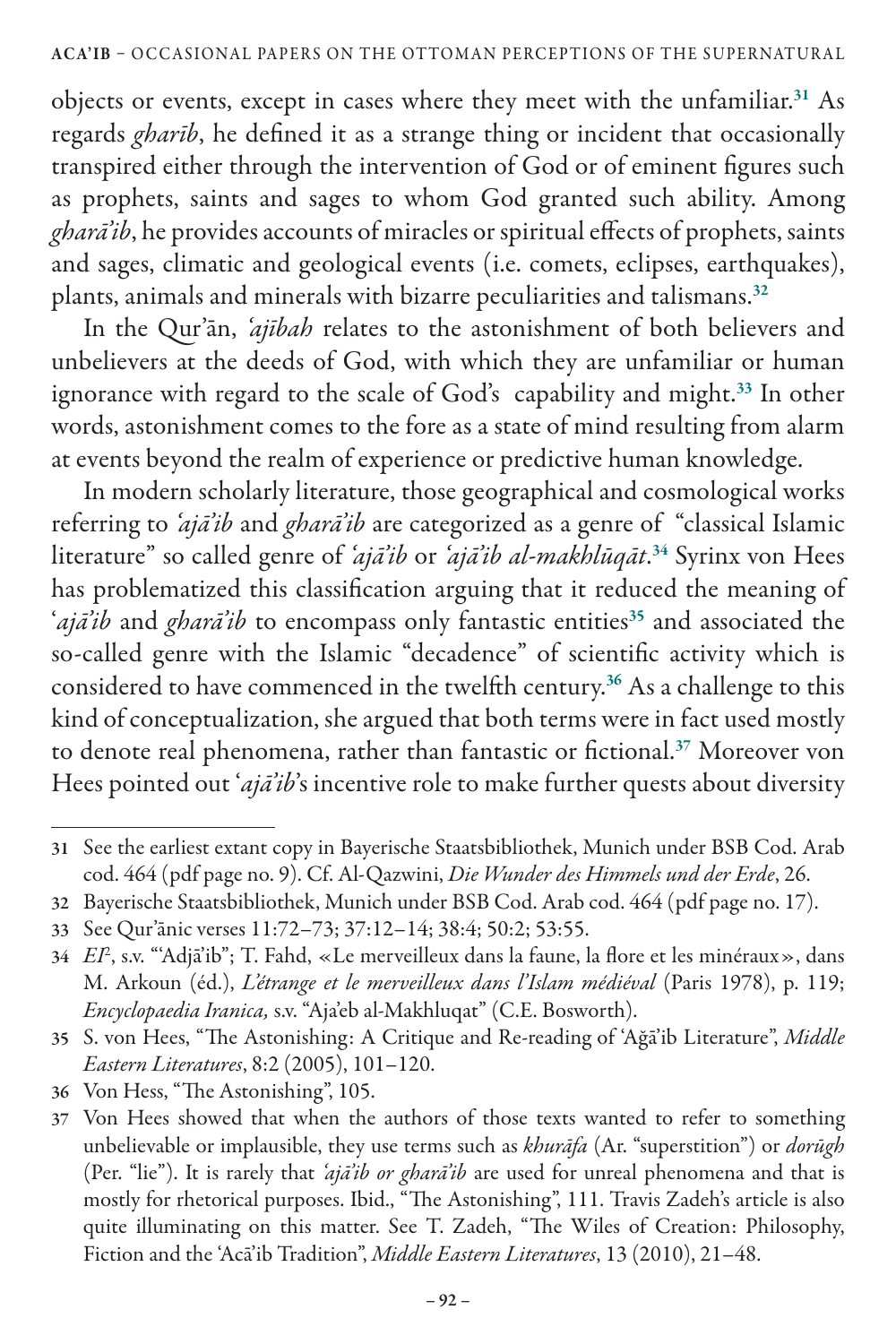objects or events, except in cases where they meet with the unfamiliar.<sup>31</sup> As regards *gharīb*, he defined it as a strange thing or incident that occasionally transpired either through the intervention of God or of eminent figures such as prophets, saints and sages to whom God granted such ability. Among *gharā'ib*, he provides accounts of miracles or spiritual effects of prophets, saints and sages, climatic and geological events (i.e. comets, eclipses, earthquakes), plants, animals and minerals with bizarre peculiarities and talismans.<sup>32</sup>

In the Qur'ān, *'ajībah* relates to the astonishment of both believers and unbelievers at the deeds of God, with which they are unfamiliar or human ignorance with regard to the scale of God's capability and might.<sup>33</sup> In other words, astonishment comes to the fore as a state of mind resulting from alarm at events beyond the realm of experience or predictive human knowledge.

In modern scholarly literature, those geographical and cosmological works referring to *'ajā'ib* and *gharā'ib* are categorized as a genre of "classical Islamic literature" so called genre of *'ajā'ib* or *'ajā'ib al-makhlūqāt*. <sup>34</sup> Syrinx von Hees has problematized this classification arguing that it reduced the meaning of '*ajā'ib* and *gharā'ib* to encompass only fantastic entities<sup>35</sup> and associated the so-called genre with the Islamic "decadence" of scientific activity which is considered to have commenced in the twelfth century.<sup>36</sup> As a challenge to this kind of conceptualization, she argued that both terms were in fact used mostly to denote real phenomena, rather than fantastic or fictional.<sup>37</sup> Moreover von Hees pointed out '*ajā'ib*'s incentive role to make further quests about diversity

<sup>31</sup> See the earliest extant copy in Bayerische Staatsbibliothek, Munich under BSB Cod. Arab cod. 464 (pdf page no. 9). Cf. Al-Qazwini, *Die Wunder des Himmels und der Erde*, 26.

<sup>32</sup> Bayerische Staatsbibliothek, Munich under BSB Cod. Arab cod. 464 (pdf page no. 17).

<sup>33</sup> See Qur'ānic verses 11:72–73; 37:12–14; 38:4; 50:2; 53:55.

<sup>34</sup> *EI*<sup>2</sup> , s.v. "'Adjā'ib"; T. Fahd, «Le merveilleux dans la faune, la flore et les minéraux», dans M. Arkoun (éd.), *L'étrange et le merveilleux dans l'Islam médiéval* (Paris 1978), p. 119; *Encyclopaedia Iranica,* s.v. "Aja'eb al-Makhluqat" (C.E. Bosworth).

<sup>35</sup> S. von Hees, "The Astonishing: A Critique and Re-reading of 'Ağā'ib Literature", *Middle Eastern Literatures*, 8:2 (2005), 101–120.

<sup>36</sup> Von Hess, "The Astonishing", 105.

<sup>37</sup> Von Hees showed that when the authors of those texts wanted to refer to something unbelievable or implausible, they use terms such as *khurāfa* (Ar. "superstition") or *dorūgh* (Per. "lie"). It is rarely that *'ajā'ib or gharā'ib* are used for unreal phenomena and that is mostly for rhetorical purposes. Ibid., "The Astonishing", 111. Travis Zadeh's article is also quite illuminating on this matter. See T. Zadeh, "The Wiles of Creation: Philosophy, Fiction and the 'Acā'ib Tradition", *Middle Eastern Literatures*, 13 (2010), 21–48.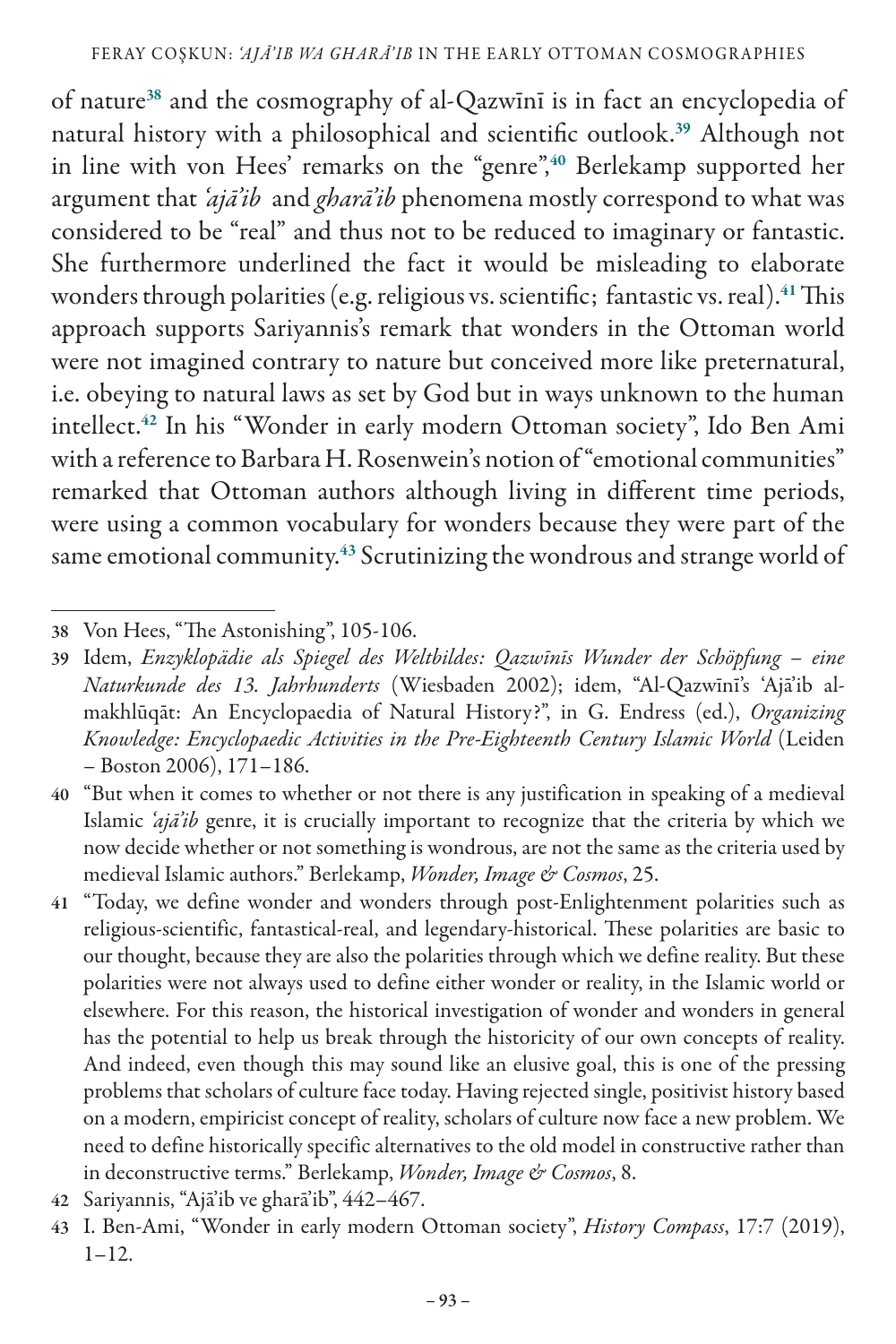of nature<sup>38</sup> and the cosmography of al-Qazwīnī is in fact an encyclopedia of natural history with a philosophical and scientific outlook.<sup>39</sup> Although not in line with von Hees' remarks on the "genre",<sup>40</sup> Berlekamp supported her argument that *'ajā'ib* and *gharā'ib* phenomena mostly correspond to what was considered to be "real" and thus not to be reduced to imaginary or fantastic. She furthermore underlined the fact it would be misleading to elaborate wonders through polarities (e.g. religious vs. scientific; fantastic vs. real).<sup>41</sup> This approach supports Sariyannis's remark that wonders in the Ottoman world were not imagined contrary to nature but conceived more like preternatural, i.e. obeying to natural laws as set by God but in ways unknown to the human intellect.<sup>42</sup> In his "Wonder in early modern Ottoman society", Ido Ben Ami with a reference to Barbara H. Rosenwein's notion of "emotional communities" remarked that Ottoman authors although living in different time periods, were using a common vocabulary for wonders because they were part of the same emotional community.<sup>43</sup> Scrutinizing the wondrous and strange world of

- 40 "But when it comes to whether or not there is any justification in speaking of a medieval Islamic *'ajā'ib* genre, it is crucially important to recognize that the criteria by which we now decide whether or not something is wondrous, are not the same as the criteria used by medieval Islamic authors." Berlekamp, *Wonder, Image & Cosmos*, 25.
- 41 "Today, we define wonder and wonders through post-Enlightenment polarities such as religious-scientific, fantastical-real, and legendary-historical. These polarities are basic to our thought, because they are also the polarities through which we define reality. But these polarities were not always used to define either wonder or reality, in the Islamic world or elsewhere. For this reason, the historical investigation of wonder and wonders in general has the potential to help us break through the historicity of our own concepts of reality. And indeed, even though this may sound like an elusive goal, this is one of the pressing problems that scholars of culture face today. Having rejected single, positivist history based on a modern, empiricist concept of reality, scholars of culture now face a new problem. We need to define historically specific alternatives to the old model in constructive rather than in deconstructive terms." Berlekamp, *Wonder, Image & Cosmos*, 8.
- 42 Sariyannis, "Ajā'ib ve gharā'ib", 442–467.
- 43 I. Ben-Ami, "Wonder in early modern Ottoman society", *History Compass*, 17:7 (2019),  $1 - 12$ .

<sup>38</sup> Von Hees, "The Astonishing", 105-106.

<sup>39</sup> Idem, *Enzyklopädie als Spiegel des Weltbildes: Qazwīnīs Wunder der Schöpfung – eine Naturkunde des 13. Jahrhunderts* (Wiesbaden 2002); idem, "Al-Qazwīnī's 'Ajā'ib almakhlūqāt: An Encyclopaedia of Natural History?", in G. Endress (ed.), *Organizing Knowledge: Encyclopaedic Activities in the Pre-Eighteenth Century Islamic World* (Leiden – Boston 2006), 171–186.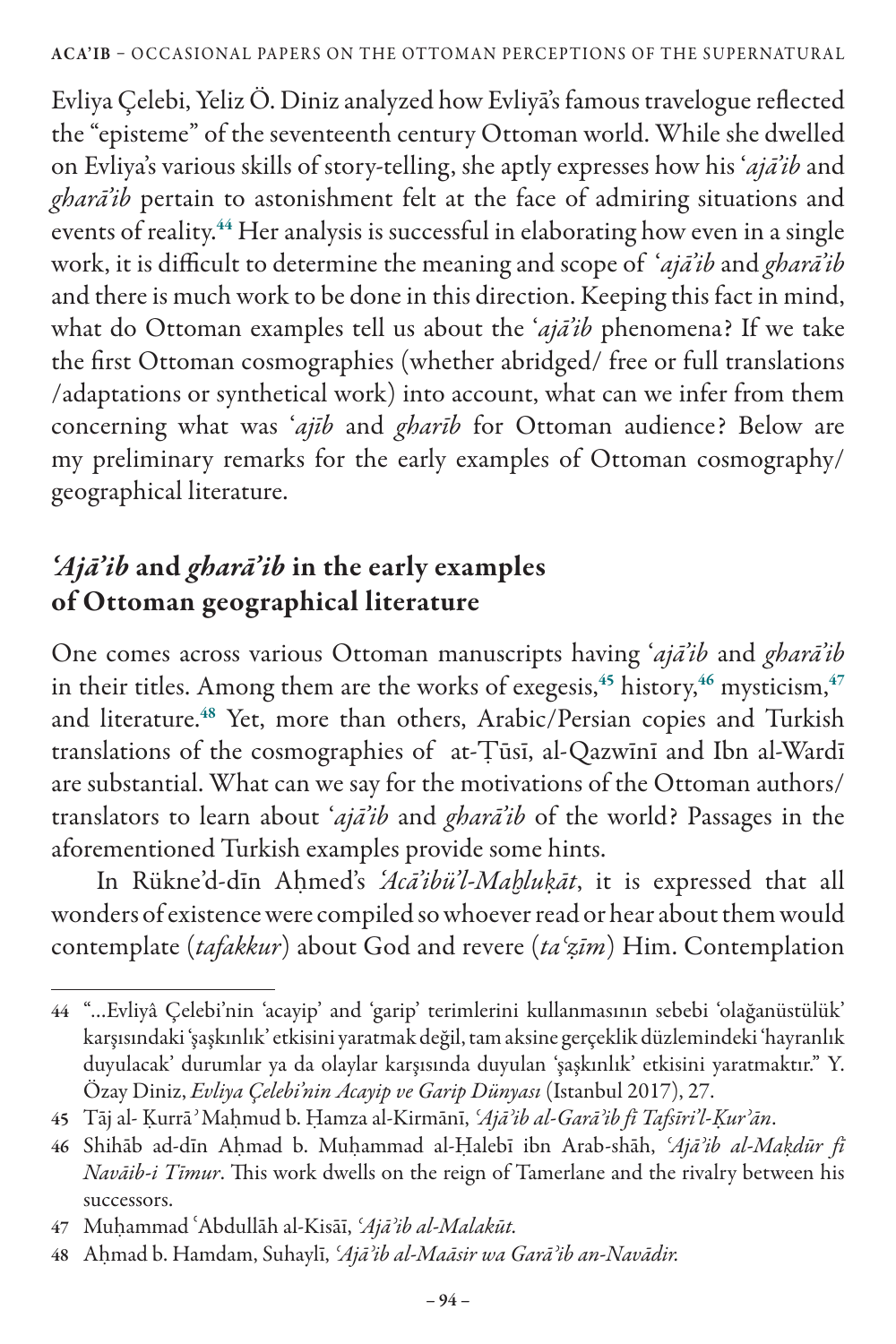Evliya Çelebi, Yeliz Ö. Diniz analyzed how Evliyā's famous travelogue reflected the "episteme" of the seventeenth century Ottoman world. While she dwelled on Evliya's various skills of story-telling, she aptly expresses how his '*ajā'ib* and *gharā'ib* pertain to astonishment felt at the face of admiring situations and events of reality.<sup>44</sup> Her analysis is successful in elaborating how even in a single work, it is difficult to determine the meaning and scope of '*ajā'ib* and *gharā'ib* and there is much work to be done in this direction. Keeping this fact in mind, what do Ottoman examples tell us about the '*ajā'ib* phenomena? If we take the first Ottoman cosmographies (whether abridged/ free or full translations /adaptations or synthetical work) into account, what can we infer from them concerning what was '*ajīb* and *gharīb* for Ottoman audience? Below are my preliminary remarks for the early examples of Ottoman cosmography/ geographical literature.

## *'Ajā'ib* and *gharā'ib* in the early examples of Ottoman geographical literature

One comes across various Ottoman manuscripts having '*ajā'ib* and *gharā'ib*  in their titles. Among them are the works of exegesis,  $45$  history,  $46$  mysticism,  $47$ and literature.<sup>48</sup> Yet, more than others, Arabic/Persian copies and Turkish translations of the cosmographies of at-Ṭūsī, al-Qazwīnī and Ibn al-Wardī are substantial. What can we say for the motivations of the Ottoman authors/ translators to learn about '*ajā'ib* and *gharā'ib* of the world? Passages in the aforementioned Turkish examples provide some hints.

 In Rükne'd-dīn Aḥmed's *'Acā'ibü'l-Maḫluḳāt*, it is expressed that all wonders of existence were compiled so whoever read or hear about them would contemplate (*tafakkur*) about God and revere (*taʿẓīm*) Him. Contemplation

<sup>44</sup> "…Evliyâ Çelebi'nin 'acayip' and 'garip' terimlerini kullanmasının sebebi 'olağanüstülük' karşısındaki 'şaşkınlık' etkisini yaratmak değil, tam aksine gerçeklik düzlemindeki 'hayranlık duyulacak' durumlar ya da olaylar karşısında duyulan 'şaşkınlık' etkisini yaratmaktır." Y. Özay Diniz, *Evliya Çelebi'nin Acayip ve Garip Dünyası* (Istanbul 2017), 27.

<sup>45</sup> Tāj al- Ḳurrā*ʾ* Maḥmud b. Ḥamza al-Kirmānī, *ʿAjāʾib al-Garāʾib fī Tafsīri'l-Ḳurʾān*.

<sup>46</sup> Shihāb ad-dīn Aḥmad b. Muḥammad al-Ḥalebī ibn Arab-shāh, *ʿAjāʾib al-Maḳdūr fī Navāib-i Tīmur*. This work dwells on the reign of Tamerlane and the rivalry between his successors.

<sup>47</sup> Muḥammad ʿAbdullāh al-Kisāī, *ʿAjāʾib al-Malakūt.*

<sup>48</sup> Aḥmad b. Hamdam, Suhaylī, *ʿAjāʾib al-Maāsir wa Garāʾib an-Navādir.*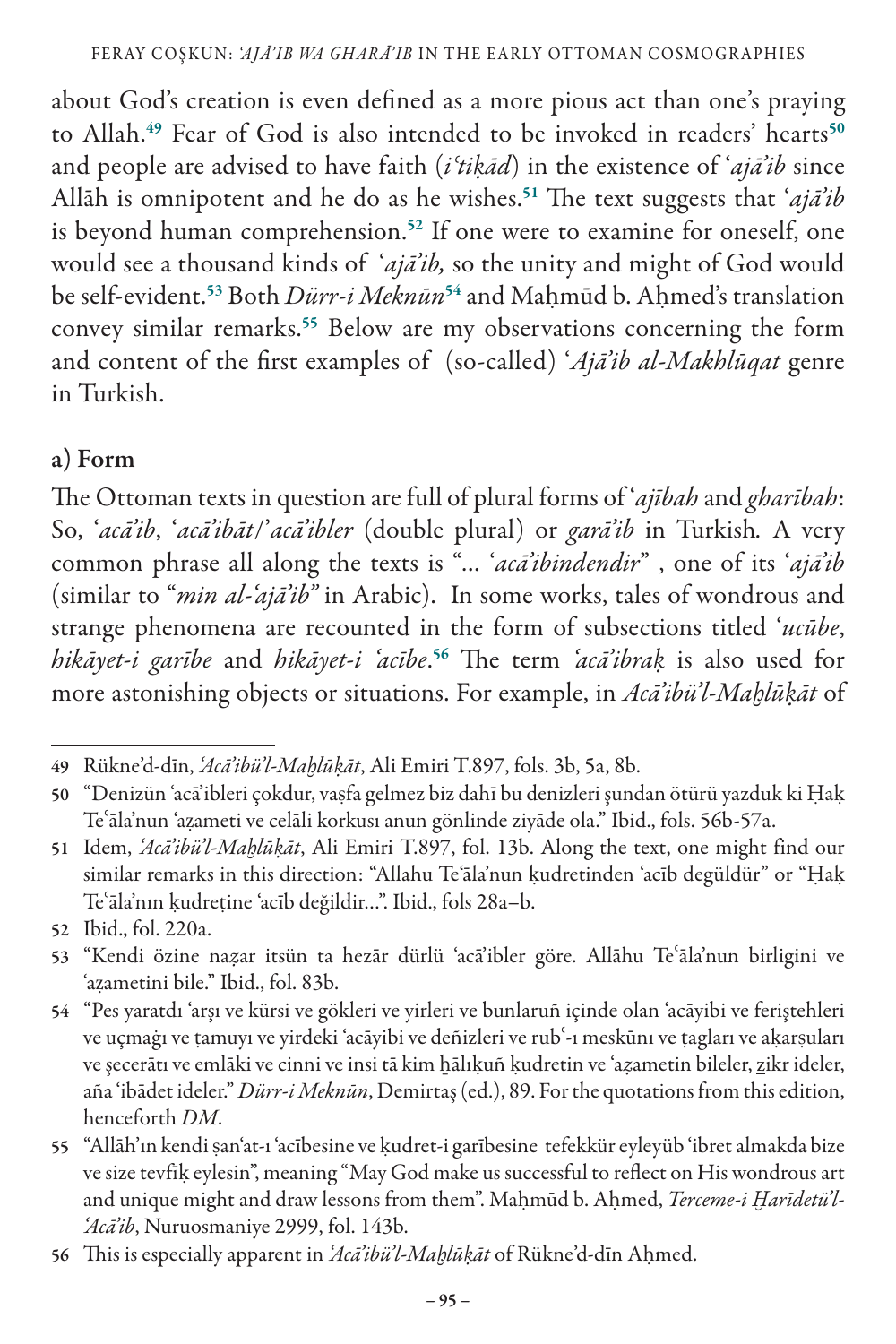about God's creation is even defined as a more pious act than one's praying to Allah.<sup>49</sup> Fear of God is also intended to be invoked in readers' hearts<sup>50</sup> and people are advised to have faith (*iʿtiḳād*) in the existence of '*ajā'ib* since Allāh is omnipotent and he do as he wishes.<sup>51</sup> The text suggests that '*ajā'ib* is beyond human comprehension.<sup>52</sup> If one were to examine for oneself, one would see a thousand kinds of '*ajā'ib,* so the unity and might of God would be self-evident.<sup>53</sup> Both *Dürr-i Meknūn*<sup>54</sup> and Mahmūd b. Ahmed's translation convey similar remarks.<sup>55</sup> Below are my observations concerning the form and content of the first examples of (so-called) '*Ajā'ib al-Makhlūqat* genre in Turkish.

#### a) Form

The Ottoman texts in question are full of plural forms of '*ajībah* and *gharībah*: So, '*acā'ib*, '*acā'ibāt*/'*acā'ibler* (double plural) or *garā'ib* in Turkish*.* A very common phrase all along the texts is "… '*acā'ibindendir*" , one of its '*ajā'ib* (similar to "*min al-'ajā'ib"* in Arabic). In some works, tales of wondrous and strange phenomena are recounted in the form of subsections titled '*ucūbe*, *hikāyet-i garībe* and *hikāyet-i 'acībe*. <sup>56</sup> The term *'acā'ibraḳ* is also used for more astonishing objects or situations. For example, in *Acā'ibü'l-Maḫlūḳāt* of

<sup>49</sup> Rükne'd-dīn, *'Acā'ibü'l-Maḫlūḳāt*, Ali Emiri T.897, fols. 3b, 5a, 8b.

<sup>50</sup> "Denizün 'acā'ibleri çokdur, vaṣfa gelmez biz dahī bu denizleri şundan ötürü yazduk ki Ḥaḳ Teʿāla'nun 'aẓameti ve celāli korkusı anun gönlinde ziyāde ola." Ibid., fols. 56b-57a.

<sup>51</sup> Idem, *'Acā'ibü'l-Maḫlūḳāt*, Ali Emiri T.897, fol. 13b. Along the text, one might find our similar remarks in this direction: "Allahu Te'āla'nun ḳudretinden 'acīb degüldür" or "Ḥaḳ Teʿāla'nın ḳudreṭine 'acīb değildir…". Ibid., fols 28a–b.

<sup>52</sup> Ibid., fol. 220a.

<sup>53</sup> "Kendi özine na*ẓ*ar itsün ta hezār dürlü 'acā'ibler göre. Allāhu Teʿāla'nun birligini ve 'aẓametini bile." Ibid., fol. 83b.

<sup>54</sup> "Pes yaratdı 'arşı ve kürsi ve gökleri ve yirleri ve bunlaruñ içinde olan 'acāyibi ve feriştehleri ve uçmaġı ve ṭamuyı ve yirdeki 'acāyibi ve deñizleri ve rubʿ-ı meskūnı ve ṭagları ve aḳarṣuları ve şecerātı ve emlāki ve cinni ve insi tā kim ẖālıḳuñ ḳudretin ve 'a*ẓ*ametin bileler, zikr ideler, aña 'ibādet ideler." *Dürr-i Meknūn*, Demirtaş (ed.), 89. For the quotations from this edition, henceforth *DM*.

<sup>55</sup> "Allāh'ın kendi ṣan'at-ı 'acībesine ve ḳudret-i garībesine tefekkür eyleyüb 'ibret almakda bize ve size tevfīḳ eylesin", meaning "May God make us successful to reflect on His wondrous art and unique might and draw lessons from them". Maḥmūd b. Aḥmed, *Terceme-i Ḫarīdetü'l- 'Acā'ib*, Nuruosmaniye 2999, fol. 143b.

<sup>56</sup> This is especially apparent in *'Acā'ibü'l-Maḫlūḳāt* of Rükne'd-dīn Aḥmed.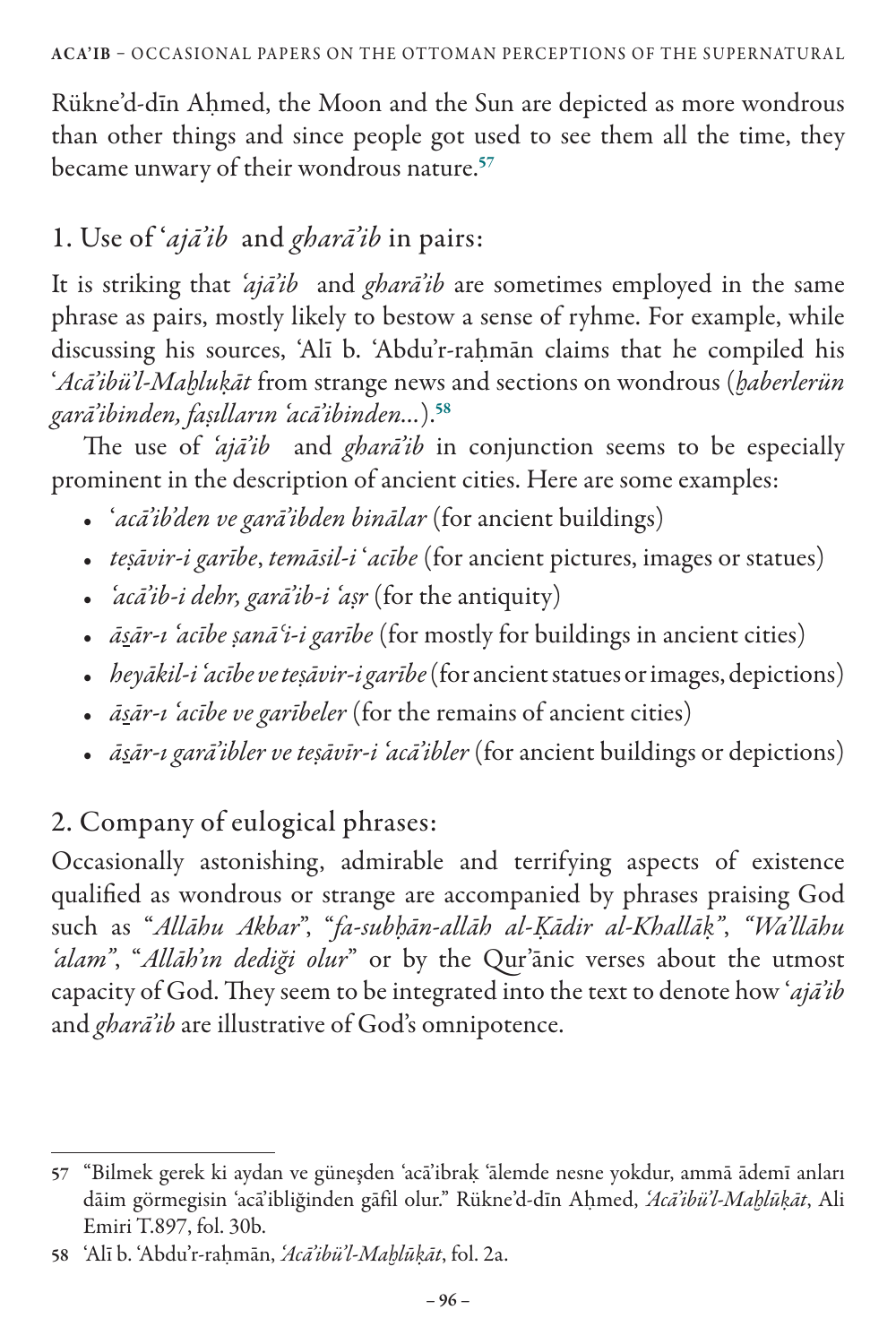Rükne'd-dīn Aḥmed, the Moon and the Sun are depicted as more wondrous than other things and since people got used to see them all the time, they became unwary of their wondrous nature.<sup>57</sup>

## 1. Use of '*ajā'ib* and *gharā'ib* in pairs:

It is striking that *'ajā'ib* and *gharā'ib* are sometimes employed in the same phrase as pairs, mostly likely to bestow a sense of ryhme. For example, while discussing his sources, 'Alī b. 'Abdu'r-raḥmān claims that he compiled his '*Acā'ibü'l-Maḫluḳāt* from strange news and sections on wondrous (*ḫaberlerün garā'ibinden, faṣılların 'acā'ibinden…*).<sup>58</sup>

The use of *'ajā'ib* and *gharā'ib* in conjunction seems to be especially prominent in the description of ancient cities. Here are some examples:

- '*acā'ib'den ve garā'ibden binālar* (for ancient buildings)
- *teṣāvir-i garībe*, *temāsil-i* '*acībe* (for ancient pictures, images or statues)
- *'acā'ib-i dehr, garā'ib-i 'aṣr* (for the antiquity)
- *āsār-ı 'acībe ṣanāʿi-i garībe* (for mostly for buildings in ancient cities)
- *heyākil-i 'acībe ve teṣāvir-i garībe* (for ancient statues or images, depictions)
- *āsār-ı 'acībe ve garībeler* (for the remains of ancient cities)
- *āsār-ı garā'ibler ve teṣāvīr-i 'acā'ibler* (for ancient buildings or depictions)

# 2. Company of eulogical phrases:

Occasionally astonishing, admirable and terrifying aspects of existence qualified as wondrous or strange are accompanied by phrases praising God such as "*Allāhu Akbar*", "*fa-subḥān-allāh al-Ḳādir al-Khallāḳ"*, *"Wa'llāhu 'alam"*, "*Allāh'ın dediği olur*" or by the Qur'ānic verses about the utmost capacity of God. They seem to be integrated into the text to denote how '*ajā'ib* and *gharā'ib* are illustrative of God's omnipotence.

<sup>57</sup> "Bilmek gerek ki aydan ve güneşden 'acā'ibraḳ 'ālemde nesne yokdur, ammā ādemī anları dāim görmegisin 'acā'ibliğinden gāfil olur." Rükne'd-dīn Aḥmed, *'Acā'ibü'l-Maḫlūḳāt*, Ali Emiri T.897, fol. 30b.

<sup>58</sup> 'Alī b. 'Abdu'r-raḥmān, *'Acā'ibü'l-Maḫlūḳāt*, fol. 2a.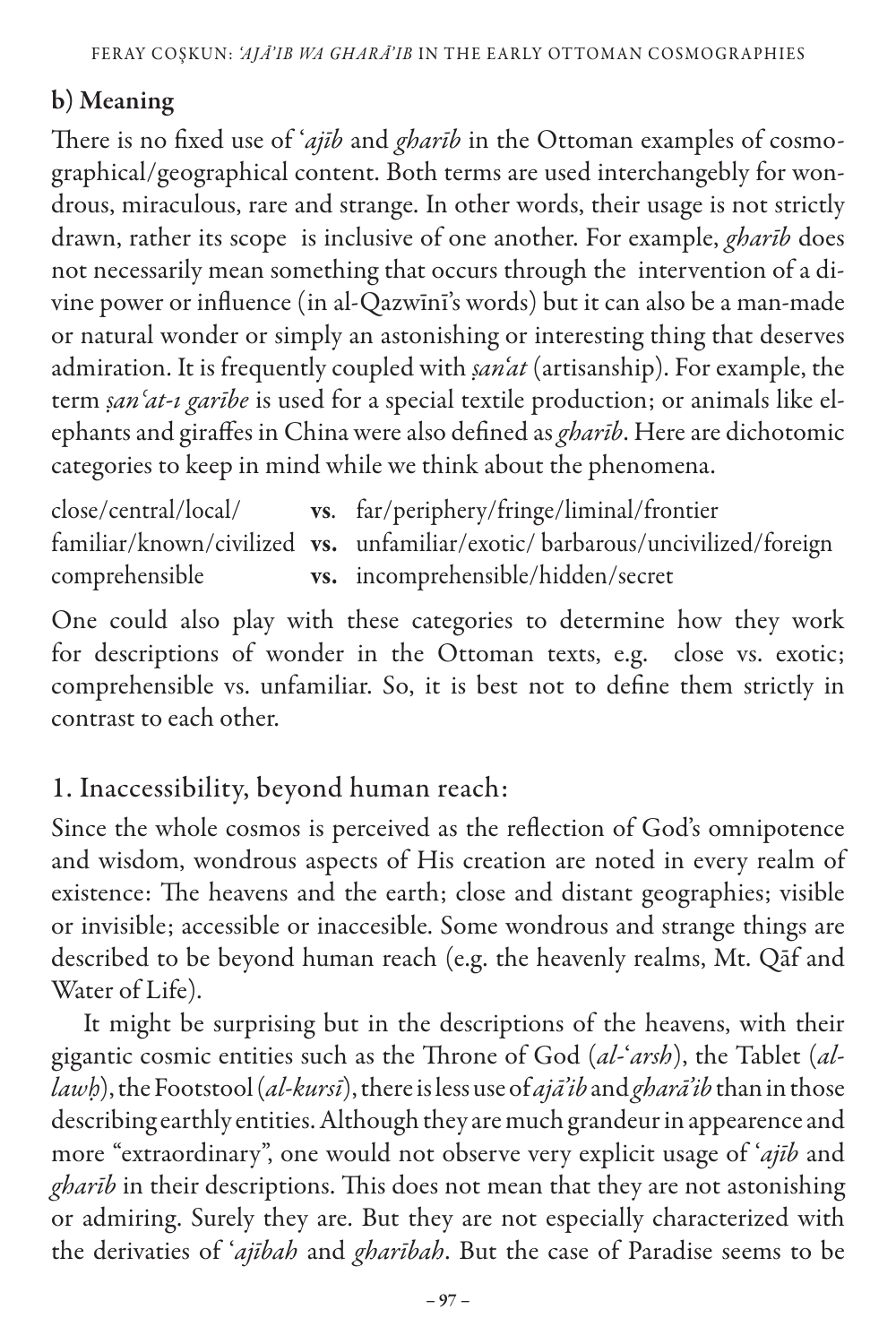#### b) Meaning

There is no fixed use of '*ajīb* and *gharīb* in the Ottoman examples of cosmographical/geographical content. Both terms are used interchangebly for wondrous, miraculous, rare and strange. In other words, their usage is not strictly drawn, rather its scope is inclusive of one another. For example, *gharīb* does not necessarily mean something that occurs through the intervention of a divine power or influence (in al-Qazwīnī's words) but it can also be a man-made or natural wonder or simply an astonishing or interesting thing that deserves admiration. It is frequently coupled with *ṣan'at* (artisanship). For example, the term *ṣanʿat-ı garībe* is used for a special textile production; or animals like elephants and giraffes in China were also defined as *gharīb*. Here are dichotomic categories to keep in mind while we think about the phenomena.

close/central/local/ vs. far/periphery/fringe/liminal/frontier familiar/known/civilized vs. unfamiliar/exotic/ barbarous/uncivilized/foreign comprehensible vs. incomprehensible/hidden/secret

One could also play with these categories to determine how they work for descriptions of wonder in the Ottoman texts, e.g. close vs. exotic; comprehensible vs. unfamiliar. So, it is best not to define them strictly in contrast to each other.

#### 1. Inaccessibility, beyond human reach:

Since the whole cosmos is perceived as the reflection of God's omnipotence and wisdom, wondrous aspects of His creation are noted in every realm of existence: The heavens and the earth; close and distant geographies; visible or invisible; accessible or inaccesible. Some wondrous and strange things are described to be beyond human reach (e.g. the heavenly realms, Mt. Qāf and Water of Life).

It might be surprising but in the descriptions of the heavens, with their gigantic cosmic entities such as the Throne of God (*al-*'*arsh*), the Tablet (*allawḥ*), the Footstool (*al*-*kursī*), there is less use of *ajā'ib* and *gharā'ib* than in those describing earthly entities. Although they are much grandeur in appearence and more "extraordinary", one would not observe very explicit usage of '*ajīb* and *gharīb* in their descriptions. This does not mean that they are not astonishing or admiring. Surely they are. But they are not especially characterized with the derivaties of '*ajībah* and *gharībah*. But the case of Paradise seems to be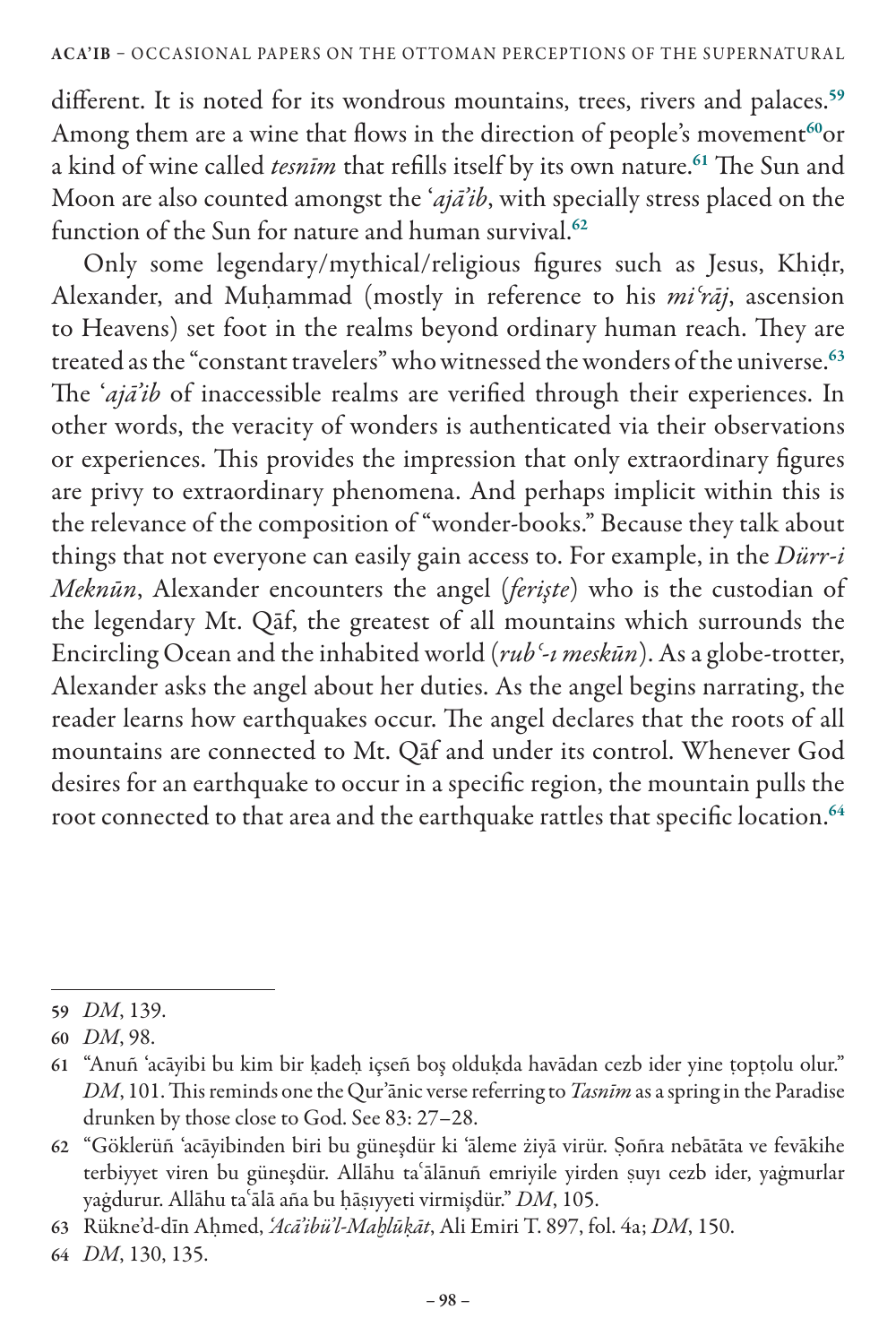different. It is noted for its wondrous mountains, trees, rivers and palaces.<sup>59</sup> Among them are a wine that flows in the direction of people's movement<sup>60</sup>or a kind of wine called *tesnīm* that refills itself by its own nature.<sup>61</sup> The Sun and Moon are also counted amongst the '*ajā'ib*, with specially stress placed on the function of the Sun for nature and human survival.<sup>62</sup>

Only some legendary/mythical/religious figures such as Jesus, Khiḍr, Alexander, and Muḥammad (mostly in reference to his *miʿrāj*, ascension to Heavens) set foot in the realms beyond ordinary human reach. They are treated as the "constant travelers" who witnessed the wonders of the universe.<sup>63</sup> The '*ajā'ib* of inaccessible realms are verified through their experiences. In other words, the veracity of wonders is authenticated via their observations or experiences. This provides the impression that only extraordinary figures are privy to extraordinary phenomena. And perhaps implicit within this is the relevance of the composition of "wonder-books." Because they talk about things that not everyone can easily gain access to. For example, in the *Dürr-i Meknūn*, Alexander encounters the angel (*ferişte*) who is the custodian of the legendary Mt. Qāf, the greatest of all mountains which surrounds the Encircling Ocean and the inhabited world (*rubʿ-ı meskūn*). As a globe-trotter, Alexander asks the angel about her duties. As the angel begins narrating, the reader learns how earthquakes occur. The angel declares that the roots of all mountains are connected to Mt. Qāf and under its control. Whenever God desires for an earthquake to occur in a specific region, the mountain pulls the root connected to that area and the earthquake rattles that specific location.<sup>64</sup>

<sup>59</sup> *DM*, 139.

<sup>60</sup> *DM*, 98.

<sup>61</sup> "Anuñ 'acāyibi bu kim bir ḳadeḥ içseñ boş olduḳda havādan cezb ider yine ṭopṭolu olur." *DM*, 101. This reminds one the Qur'ānic verse referring to *Tasnīm* as a spring in the Paradise drunken by those close to God. See 83: 27–28.

<sup>62</sup> "Göklerüñ 'acāyibinden biri bu güneşdür ki 'āleme żiyā virür. Ṣoñra nebātāta ve fevākihe terbiyyet viren bu güneşdür. Allāhu taʿālānuñ emriyile yirden ṣuyı cezb ider, yaġmurlar yaġdurur. Allāhu taʿālā aña bu ḥāṣıyyeti virmişdür." *DM*, 105.

<sup>63</sup> Rükne'd-dīn Aḥmed, *'Acā'ibü'l-Maḫlūḳāt*, Ali Emiri T. 897, fol. 4a; *DM*, 150.

<sup>64</sup> *DM*, 130, 135.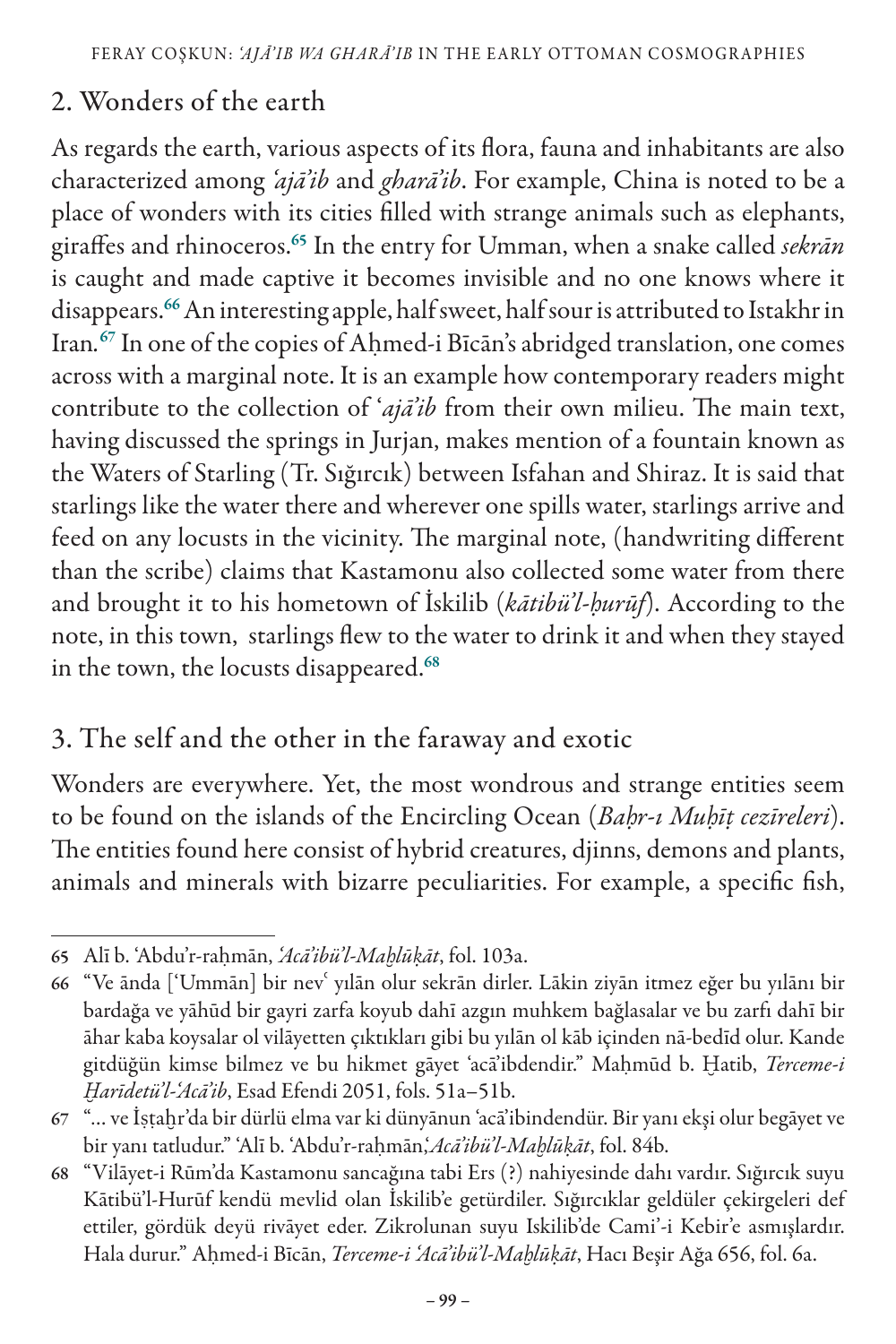## 2. Wonders of the earth

As regards the earth, various aspects of its flora, fauna and inhabitants are also characterized among *'ajā'ib* and *gharā'ib*. For example, China is noted to be a place of wonders with its cities filled with strange animals such as elephants, giraffes and rhinoceros.<sup>65</sup> In the entry for Umman, when a snake called *sekrān* is caught and made captive it becomes invisible and no one knows where it disappears.<sup>66</sup> An interesting apple, half sweet, half sour is attributed to Istakhr in Iran*.* <sup>67</sup> In one of the copies of Aḥmed-i Bīcān's abridged translation, one comes across with a marginal note. It is an example how contemporary readers might contribute to the collection of '*ajā'ib* from their own milieu. The main text, having discussed the springs in Jurjan, makes mention of a fountain known as the Waters of Starling (Tr. Sığırcık) between Isfahan and Shiraz. It is said that starlings like the water there and wherever one spills water, starlings arrive and feed on any locusts in the vicinity. The marginal note, (handwriting different than the scribe) claims that Kastamonu also collected some water from there and brought it to his hometown of İskilib (*kātibü'l-ḥurūf*). According to the note, in this town, starlings flew to the water to drink it and when they stayed in the town, the locusts disappeared.<sup>68</sup>

#### 3. The self and the other in the faraway and exotic

Wonders are everywhere. Yet, the most wondrous and strange entities seem to be found on the islands of the Encircling Ocean (*Baḥr-ı Muḥīṭ cezīreleri*). The entities found here consist of hybrid creatures, djinns, demons and plants, animals and minerals with bizarre peculiarities. For example, a specific fish,

<sup>65</sup> Alī b. 'Abdu'r-raḥmān, *'Acā'ibü'l-Maḫlūḳāt*, fol. 103a.

<sup>66</sup> "Ve ānda ['Ummān] bir nevʿ yılān olur sekrān dirler. Lākin ziyān itmez eğer bu yılānı bir bardağa ve yāhūd bir gayri zarfa koyub dahī azgın muhkem bağlasalar ve bu zarfı dahī bir āhar kaba koysalar ol vilāyetten çıktıkları gibi bu yılān ol kāb içinden nā-bedīd olur. Kande gitdüğün kimse bilmez ve bu hikmet gāyet 'acā'ibdendir." Maḥmūd b. Ḫatib, *Terceme-i Ḫarīdetü'l-'Acā'ib*, Esad Efendi 2051, fols. 51a–51b.

<sup>67</sup> "… ve İṣṭaḫr'da bir dürlü elma var ki dünyānun 'acā'ibindendür. Bir yanı ekşi olur begāyet ve bir yanı tatludur." 'Alī b. 'Abdu'r-raḥmān,'*Acā'ibü'l-Maḫlūḳāt*, fol. 84b.

<sup>68</sup> "Vilāyet-i Rūm'da Kastamonu sancağına tabi Ers (?) nahiyesinde dahı vardır. Sığırcık suyu Kātibü'l-Hurūf kendü mevlid olan İskilib'e getürdiler. Sığırcıklar geldüler çekirgeleri def ettiler, gördük deyü rivāyet eder. Zikrolunan suyu Iskilib'de Cami'-i Kebir'e asmışlardır. Hala durur." Aḥmed-i Bīcān, *Terceme-i 'Acā'ibü'l-Maḫlūḳāt*, Hacı Beşir Ağa 656, fol. 6a.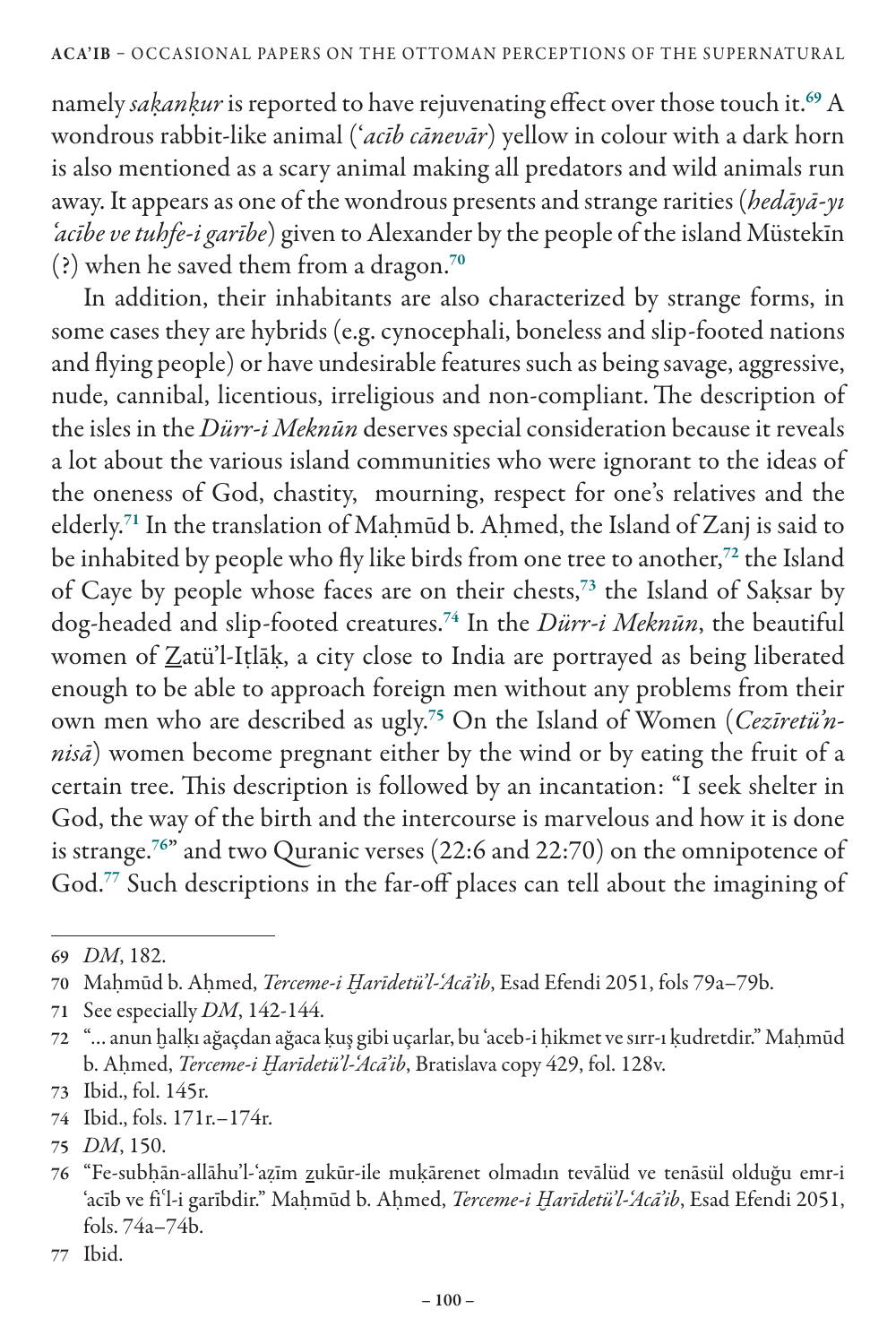namely *saḳanḳur* is reported to have rejuvenating effect over those touch it.<sup>69</sup> A wondrous rabbit-like animal ('*acīb cānevār*) yellow in colour with a dark horn is also mentioned as a scary animal making all predators and wild animals run away. It appears as one of the wondrous presents and strange rarities (*hedāyā-yı 'acībe ve tuhfe-i garībe*) given to Alexander by the people of the island Müstekīn (?) when he saved them from a dragon.<sup>70</sup>

In addition, their inhabitants are also characterized by strange forms, in some cases they are hybrids (e.g. cynocephali, boneless and slip-footed nations and flying people) or have undesirable features such as being savage, aggressive, nude, cannibal, licentious, irreligious and non-compliant.The description of the isles in the *Dürr-i Meknūn* deserves special consideration because it reveals a lot about the various island communities who were ignorant to the ideas of the oneness of God, chastity, mourning, respect for one's relatives and the elderly.<sup>71</sup> In the translation of Mahmūd b. Ahmed, the Island of Zanj is said to be inhabited by people who fly like birds from one tree to another,<sup>72</sup> the Island of Caye by people whose faces are on their chests,<sup>73</sup> the Island of Saksar by dog-headed and slip-footed creatures.<sup>74</sup> In the *Dürr-i Meknūn*, the beautiful women of Zatü'l-Iṭlāḳ, a city close to India are portrayed as being liberated enough to be able to approach foreign men without any problems from their own men who are described as ugly.75 On the Island of Women (*Cezīretü'nnisā*) women become pregnant either by the wind or by eating the fruit of a certain tree. This description is followed by an incantation: "I seek shelter in God, the way of the birth and the intercourse is marvelous and how it is done is strange.<sup>76</sup>" and two Quranic verses (22:6 and 22:70) on the omnipotence of God.<sup>77</sup> Such descriptions in the far-off places can tell about the imagining of

<sup>69</sup> *DM*, 182.

<sup>70</sup> Maḥmūd b. Aḥmed, *Terceme-i Ḫarīdetü'l-'Acā'ib*, Esad Efendi 2051, fols 79a–79b.

<sup>71</sup> See especially *DM*, 142-144.

<sup>72</sup> "… anun ḫalḳı ağaçdan ağaca ḳuş gibi uçarlar, bu 'aceb-i ḥikmet ve sırr-ı ḳudretdir." Maḥmūd b. Aḥmed, *Terceme-i Ḫarīdetü'l-'Acā'ib*, Bratislava copy 429, fol. 128v.

<sup>73</sup> Ibid., fol. 145r.

<sup>74</sup> Ibid., fols. 171r.–174r.

<sup>75</sup> *DM*, 150.

<sup>76</sup> "Fe-subḥān-allāhu'l-'aẓīm zukūr-ile muḳārenet olmadın tevālüd ve tenāsül olduğu emr-i 'acīb ve fiʿl-i garībdir." Maḥmūd b. Aḥmed, *Terceme-i Ḫarīdetü'l-'Acā'ib*, Esad Efendi 2051, fols. 74a–74b.

<sup>77</sup> Ibid.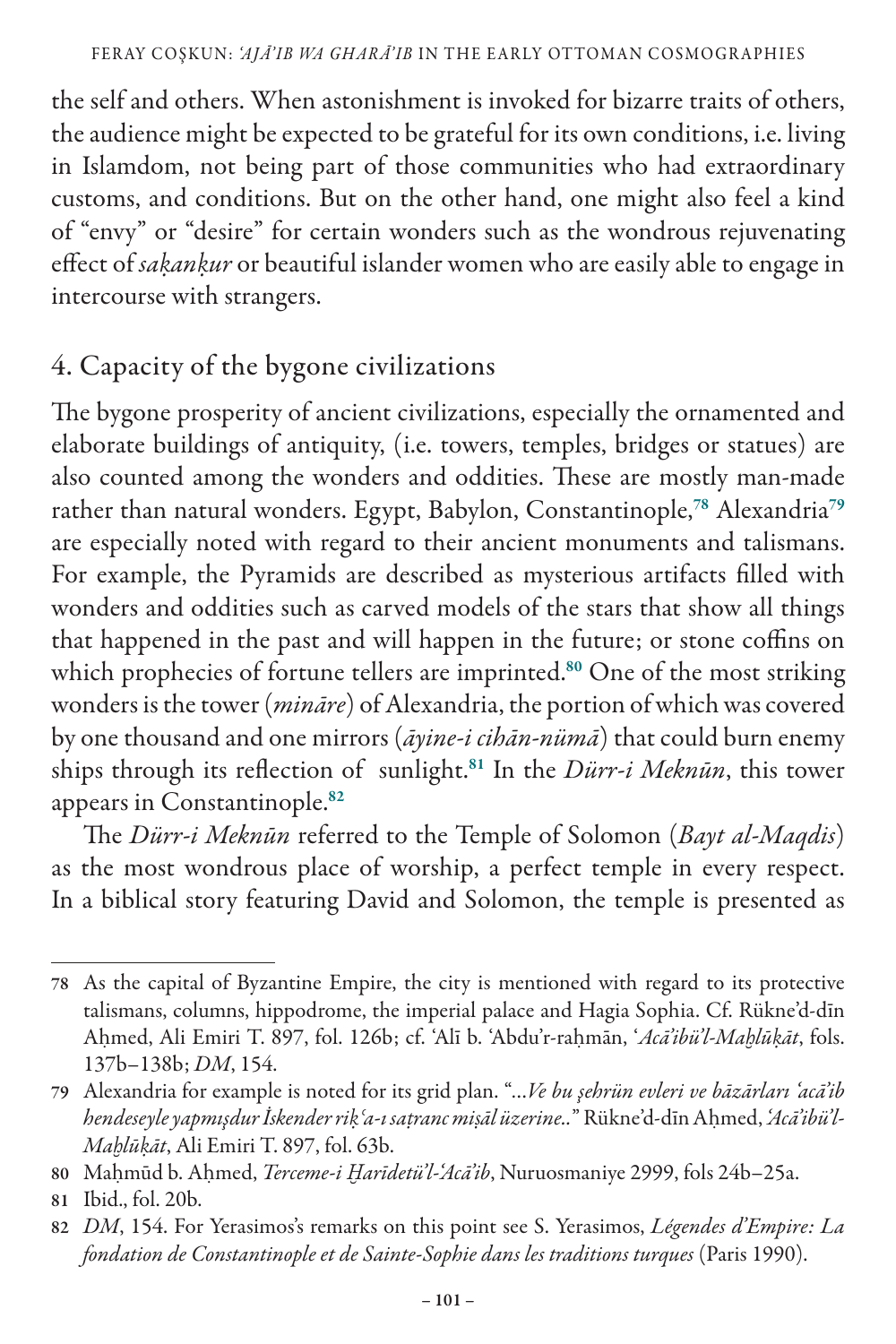the self and others. When astonishment is invoked for bizarre traits of others, the audience might be expected to be grateful for its own conditions, i.e. living in Islamdom, not being part of those communities who had extraordinary customs, and conditions. But on the other hand, one might also feel a kind of "envy" or "desire" for certain wonders such as the wondrous rejuvenating effect of *saḳanḳur* or beautiful islander women who are easily able to engage in intercourse with strangers.

## 4. Capacity of the bygone civilizations

The bygone prosperity of ancient civilizations, especially the ornamented and elaborate buildings of antiquity, (i.e. towers, temples, bridges or statues) are also counted among the wonders and oddities. These are mostly man-made rather than natural wonders. Egypt, Babylon, Constantinople,<sup>78</sup> Alexandria<sup>79</sup> are especially noted with regard to their ancient monuments and talismans. For example, the Pyramids are described as mysterious artifacts filled with wonders and oddities such as carved models of the stars that show all things that happened in the past and will happen in the future; or stone coffins on which prophecies of fortune tellers are imprinted.<sup>80</sup> One of the most striking wonders is the tower (*mināre*) of Alexandria, the portion of which was covered by one thousand and one mirrors (*āyine-i cihān-nümā*) that could burn enemy ships through its reflection of sunlight.<sup>81</sup> In the *Dürr-i Meknūn*, this tower appears in Constantinople.<sup>82</sup>

The *Dürr-i Meknūn* referred to the Temple of Solomon (*Bayt al-Maqdis*) as the most wondrous place of worship, a perfect temple in every respect. In a biblical story featuring David and Solomon, the temple is presented as

<sup>78</sup> As the capital of Byzantine Empire, the city is mentioned with regard to its protective talismans, columns, hippodrome, the imperial palace and Hagia Sophia. Cf. Rükne'd-dīn Aḥmed, Ali Emiri T. 897, fol. 126b; cf. 'Alī b. 'Abdu'r-raḥmān, '*Acā'ibü'l-Maḫlūḳāt*, fols. 137b–138b; *DM*, 154.

<sup>79</sup> Alexandria for example is noted for its grid plan. "…*Ve bu şehrün evleri ve bāzārları 'acā'ib hendeseyle yapmışdur İskender riḳʿa-ı saṭranc miṣāl üzerine..*" Rükne'd-dīn Aḥmed, *'Acā'ibü'l-Maḫlūḳāt*, Ali Emiri T. 897, fol. 63b.

<sup>80</sup> Maḥmūd b. Aḥmed, *Terceme-i Ḫarīdetü'l-'Acā'ib*, Nuruosmaniye 2999, fols 24b–25a.

<sup>81</sup> Ibid., fol. 20b.

<sup>82</sup> *DM*, 154. For Yerasimos's remarks on this point see S. Yerasimos, *Légendes d'Empire: La fondation de Constantinople et de Sainte-Sophie dans les traditions turques* (Paris 1990).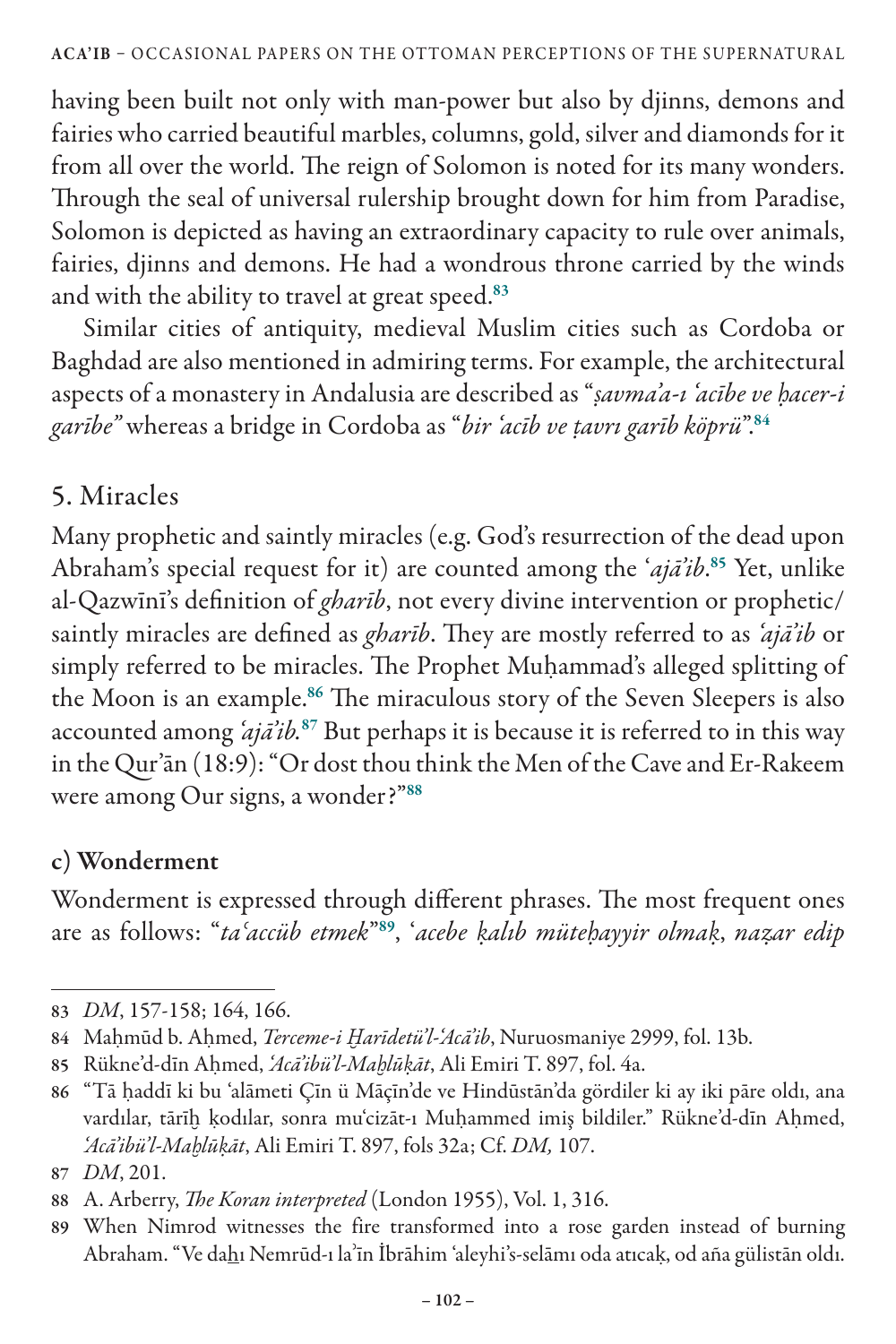having been built not only with man-power but also by djinns, demons and fairies who carried beautiful marbles, columns, gold, silver and diamonds for it from all over the world. The reign of Solomon is noted for its many wonders. Through the seal of universal rulership brought down for him from Paradise, Solomon is depicted as having an extraordinary capacity to rule over animals, fairies, djinns and demons. He had a wondrous throne carried by the winds and with the ability to travel at great speed.<sup>83</sup>

Similar cities of antiquity, medieval Muslim cities such as Cordoba or Baghdad are also mentioned in admiring terms. For example, the architectural aspects of a monastery in Andalusia are described as "*ṣavma'a-ı 'acībe ve ḥacer-i garībe"* whereas a bridge in Cordoba as "*bir 'acīb ve ṭavrı garīb köprü*".<sup>84</sup>

## 5. Miracles

Many prophetic and saintly miracles (e.g. God's resurrection of the dead upon Abraham's special request for it) are counted among the '*ajā'ib*. <sup>85</sup> Yet, unlike al-Qazwīnī's definition of *gharīb*, not every divine intervention or prophetic/ saintly miracles are defined as *gharīb*. They are mostly referred to as *'ajā'ib* or simply referred to be miracles. The Prophet Muhammad's alleged splitting of the Moon is an example.<sup>86</sup> The miraculous story of the Seven Sleepers is also accounted among *'ajā'ib.*<sup>87</sup> But perhaps it is because it is referred to in this way in the Qur'ān (18:9): "Or dost thou think the Men of the Cave and Er-Rakeem were among Our signs, a wonder?"<sup>88</sup>

#### c) Wonderment

Wonderment is expressed through different phrases. The most frequent ones are as follows: "*taʿaccüb etmek*"<sup>89</sup>, '*acebe ḳalıb müteḥayyir olmaḳ*, *naẓar edip* 

<sup>83</sup> *DM*, 157-158; 164, 166.

<sup>84</sup> Maḥmūd b. Aḥmed, *Terceme-i Ḫarīdetü'l-'Acā'ib*, Nuruosmaniye 2999, fol. 13b.

<sup>85</sup> Rükne'd-dīn Aḥmed, *'Acā'ibü'l-Maḫlūḳāt*, Ali Emiri T. 897, fol. 4a.

<sup>86</sup> "Tā ḥaddī ki bu 'alāmeti Çīn ü Māçīn'de ve Hindūstān'da gördiler ki ay iki pāre oldı, ana vardılar, tārīḫ ḳodılar, sonra mu'cizāt-ı Muḥammed imiş bildiler." Rükne'd-dīn Aḥmed, *'Acā'ibü'l-Maḫlūḳāt*, Ali Emiri T. 897, fols 32a; Cf. *DM,* 107.

<sup>87</sup> *DM*, 201.

<sup>88</sup> A. Arberry, *The Koran interpreted* (London 1955), Vol. 1, 316.

<sup>89</sup> When Nimrod witnesses the fire transformed into a rose garden instead of burning Abraham. "Ve dahı Nemrūd-ı laʾīn İbrāhim 'aleyhi's-selāmı oda atıcaḳ, od aña gülistān oldı.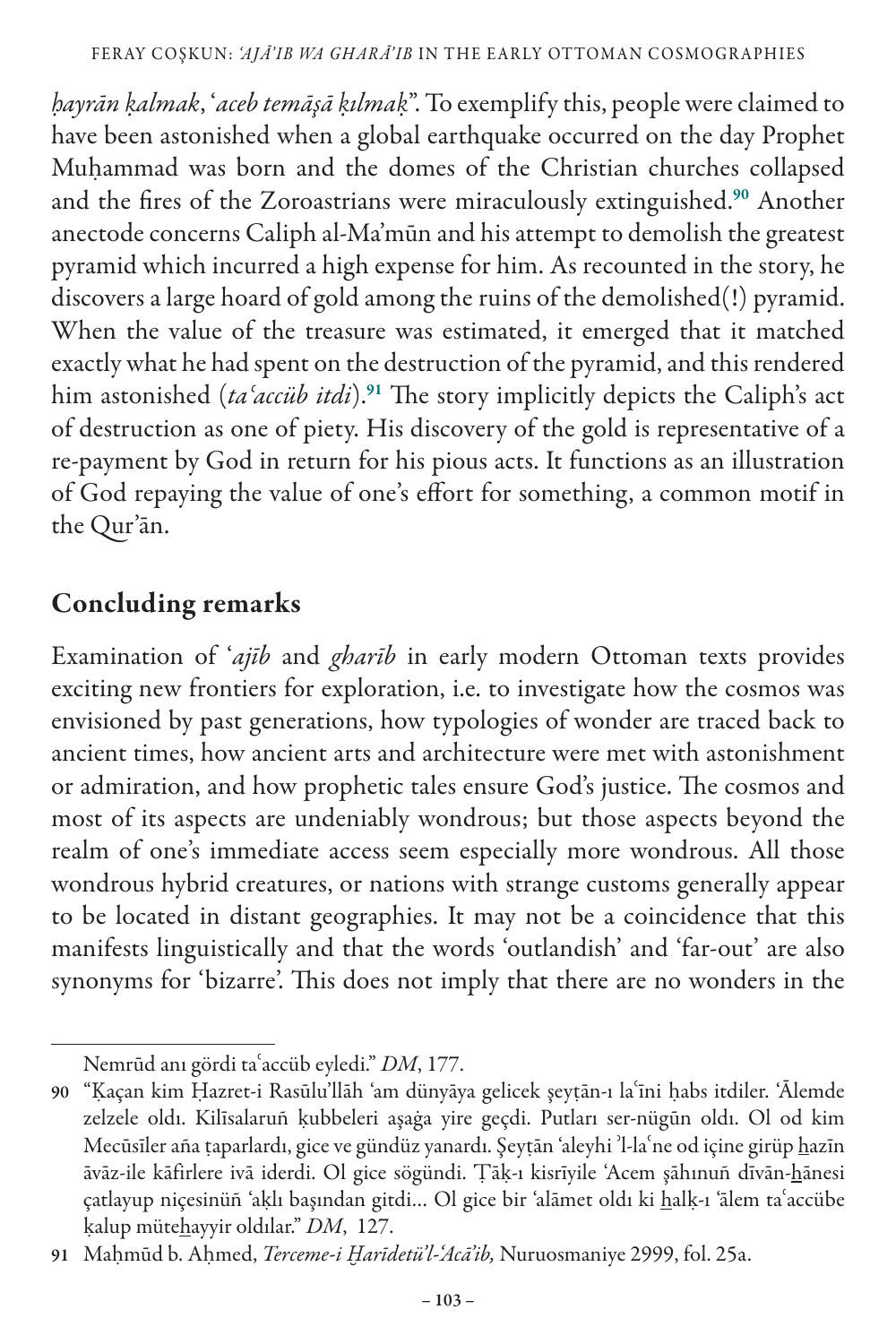*ḥayrān ḳalmak*, '*aceb temāşā ḳılmaḳ*". To exemplify this, people were claimed to have been astonished when a global earthquake occurred on the day Prophet Muhammad was born and the domes of the Christian churches collapsed and the fires of the Zoroastrians were miraculously extinguished.<sup>90</sup> Another anectode concerns Caliph al-Ma'mūn and his attempt to demolish the greatest pyramid which incurred a high expense for him. As recounted in the story, he discovers a large hoard of gold among the ruins of the demolished(!) pyramid. When the value of the treasure was estimated, it emerged that it matched exactly what he had spent on the destruction of the pyramid, and this rendered him astonished (*taʿaccüb itdi*).<sup>91</sup> The story implicitly depicts the Caliph's act of destruction as one of piety. His discovery of the gold is representative of a re-payment by God in return for his pious acts. It functions as an illustration of God repaying the value of one's effort for something, a common motif in the Qur'ān.

#### Concluding remarks

Examination of '*ajīb* and *gharīb* in early modern Ottoman texts provides exciting new frontiers for exploration, i.e. to investigate how the cosmos was envisioned by past generations, how typologies of wonder are traced back to ancient times, how ancient arts and architecture were met with astonishment or admiration, and how prophetic tales ensure God's justice. The cosmos and most of its aspects are undeniably wondrous; but those aspects beyond the realm of one's immediate access seem especially more wondrous. All those wondrous hybrid creatures, or nations with strange customs generally appear to be located in distant geographies. It may not be a coincidence that this manifests linguistically and that the words 'outlandish' and 'far-out' are also synonyms for 'bizarre'. This does not imply that there are no wonders in the

Nemrūd anı gördi taʿaccüb eyledi." *DM*, 177.

<sup>90</sup> "Ḳaçan kim Ḥazret-i Rasūlu'llāh 'am dünyāya gelicek şeyṭān-ı laʿīni ḥabs itdiler. 'Ālemde zelzele oldı. Kilīsalaruñ ḳubbeleri aşaġa yire geçdi. Putları ser-nügūn oldı. Ol od kim Mecūsīler aña ṭaparlardı, gice ve gündüz yanardı. Şeyṭān 'aleyhi 'l-la'ne od içine girüp hazīn āvāz-ile kāfirlere ivā iderdi. Ol gice sögündi. Ṭāḳ-ı kisrīyile 'Acem şāhınuñ dīvān-hānesi çatlayup niçesinüñ 'aḳlı başından gitdi… Ol gice bir 'alāmet oldı ki halḳ-ı 'ālem taʿaccübe ḳalup mütehayyir oldılar." *DM*, 127.

<sup>91</sup> Maḥmūd b. Aḥmed, *Terceme-i Ḫarīdetü'l-'Acā'ib,* Nuruosmaniye 2999, fol. 25a.